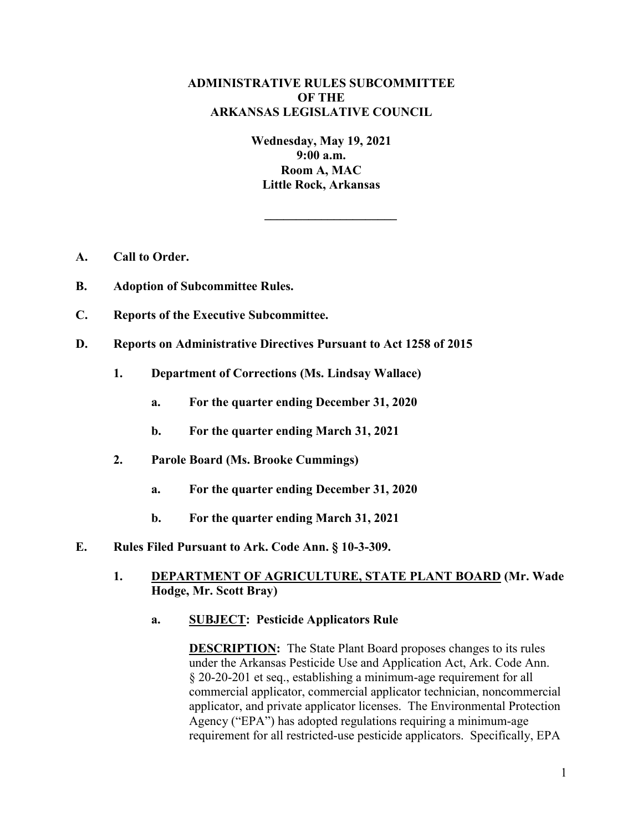# **ADMINISTRATIVE RULES SUBCOMMITTEE OF THE ARKANSAS LEGISLATIVE COUNCIL**

**Wednesday, May 19, 2021 9:00 a.m. Room A, MAC Little Rock, Arkansas**

**\_\_\_\_\_\_\_\_\_\_\_\_\_\_\_\_\_\_\_\_\_**

- **A. Call to Order.**
- **B. Adoption of Subcommittee Rules.**
- **C. Reports of the Executive Subcommittee.**
- **D. Reports on Administrative Directives Pursuant to Act 1258 of 2015**
	- **1. Department of Corrections (Ms. Lindsay Wallace)**
		- **a. For the quarter ending December 31, 2020**
		- **b. For the quarter ending March 31, 2021**
	- **2. Parole Board (Ms. Brooke Cummings)**
		- **a. For the quarter ending December 31, 2020**
		- **b. For the quarter ending March 31, 2021**
- **E. Rules Filed Pursuant to Ark. Code Ann. § 10-3-309.**
	- **1. DEPARTMENT OF AGRICULTURE, STATE PLANT BOARD (Mr. Wade Hodge, Mr. Scott Bray)**
		- **a. SUBJECT: Pesticide Applicators Rule**

**DESCRIPTION:** The State Plant Board proposes changes to its rules under the Arkansas Pesticide Use and Application Act, Ark. Code Ann. § 20-20-201 et seq., establishing a minimum-age requirement for all commercial applicator, commercial applicator technician, noncommercial applicator, and private applicator licenses. The Environmental Protection Agency ("EPA") has adopted regulations requiring a minimum-age requirement for all restricted-use pesticide applicators. Specifically, EPA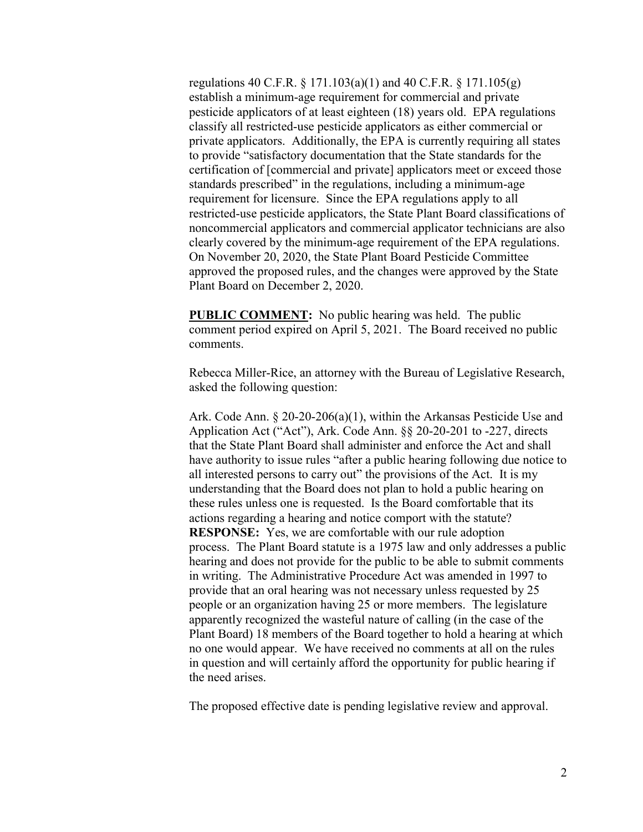regulations 40 C.F.R.  $\S 171.103(a)(1)$  and 40 C.F.R.  $\S 171.105(g)$ establish a minimum-age requirement for commercial and private pesticide applicators of at least eighteen (18) years old. EPA regulations classify all restricted-use pesticide applicators as either commercial or private applicators. Additionally, the EPA is currently requiring all states to provide "satisfactory documentation that the State standards for the certification of [commercial and private] applicators meet or exceed those standards prescribed" in the regulations, including a minimum-age requirement for licensure. Since the EPA regulations apply to all restricted-use pesticide applicators, the State Plant Board classifications of noncommercial applicators and commercial applicator technicians are also clearly covered by the minimum-age requirement of the EPA regulations. On November 20, 2020, the State Plant Board Pesticide Committee approved the proposed rules, and the changes were approved by the State Plant Board on December 2, 2020.

**PUBLIC COMMENT:** No public hearing was held. The public comment period expired on April 5, 2021. The Board received no public comments.

Rebecca Miller-Rice, an attorney with the Bureau of Legislative Research, asked the following question:

Ark. Code Ann. § 20-20-206(a)(1), within the Arkansas Pesticide Use and Application Act ("Act"), Ark. Code Ann. §§ 20-20-201 to -227, directs that the State Plant Board shall administer and enforce the Act and shall have authority to issue rules "after a public hearing following due notice to all interested persons to carry out" the provisions of the Act. It is my understanding that the Board does not plan to hold a public hearing on these rules unless one is requested. Is the Board comfortable that its actions regarding a hearing and notice comport with the statute? **RESPONSE:** Yes, we are comfortable with our rule adoption process. The Plant Board statute is a 1975 law and only addresses a public hearing and does not provide for the public to be able to submit comments in writing. The Administrative Procedure Act was amended in 1997 to provide that an oral hearing was not necessary unless requested by 25 people or an organization having 25 or more members. The legislature apparently recognized the wasteful nature of calling (in the case of the Plant Board) 18 members of the Board together to hold a hearing at which no one would appear. We have received no comments at all on the rules in question and will certainly afford the opportunity for public hearing if the need arises.

The proposed effective date is pending legislative review and approval.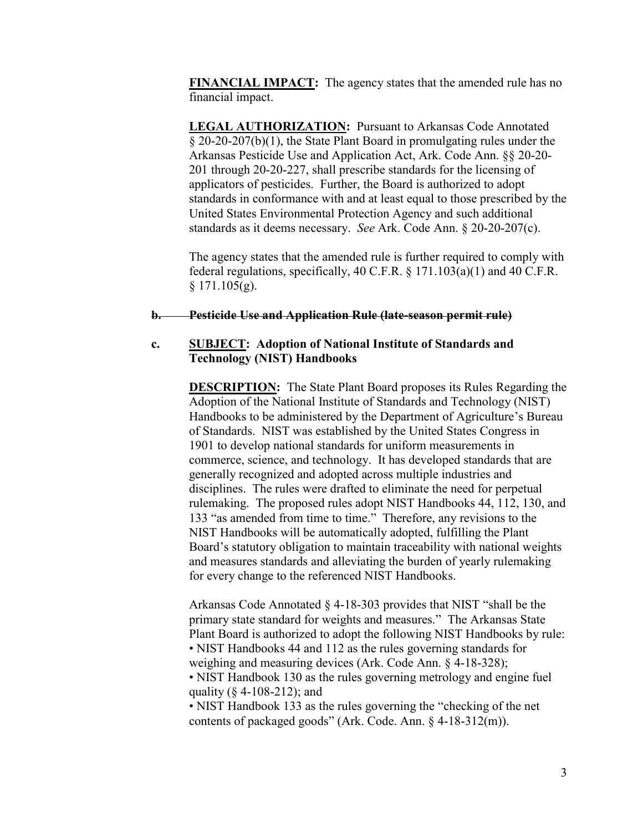**FINANCIAL IMPACT:** The agency states that the amended rule has no financial impact.

**LEGAL AUTHORIZATION:** Pursuant to Arkansas Code Annotated § 20-20-207(b)(1), the State Plant Board in promulgating rules under the Arkansas Pesticide Use and Application Act, Ark. Code Ann. §§ 20-20- 201 through 20-20-227, shall prescribe standards for the licensing of applicators of pesticides. Further, the Board is authorized to adopt standards in conformance with and at least equal to those prescribed by the United States Environmental Protection Agency and such additional standards as it deems necessary. *See* Ark. Code Ann. § 20-20-207(c).

The agency states that the amended rule is further required to comply with federal regulations, specifically, 40 C.F.R. § 171.103(a)(1) and 40 C.F.R.  $§ 171.105(g).$ 

#### **b. Pesticide Use and Application Rule (late-season permit rule)**

### **c. SUBJECT: Adoption of National Institute of Standards and Technology (NIST) Handbooks**

**DESCRIPTION:** The State Plant Board proposes its Rules Regarding the Adoption of the National Institute of Standards and Technology (NIST) Handbooks to be administered by the Department of Agriculture's Bureau of Standards. NIST was established by the United States Congress in 1901 to develop national standards for uniform measurements in commerce, science, and technology. It has developed standards that are generally recognized and adopted across multiple industries and disciplines. The rules were drafted to eliminate the need for perpetual rulemaking. The proposed rules adopt NIST Handbooks 44, 112, 130, and 133 "as amended from time to time." Therefore, any revisions to the NIST Handbooks will be automatically adopted, fulfilling the Plant Board's statutory obligation to maintain traceability with national weights and measures standards and alleviating the burden of yearly rulemaking for every change to the referenced NIST Handbooks.

Arkansas Code Annotated § 4-18-303 provides that NIST "shall be the primary state standard for weights and measures." The Arkansas State Plant Board is authorized to adopt the following NIST Handbooks by rule: • NIST Handbooks 44 and 112 as the rules governing standards for weighing and measuring devices (Ark. Code Ann. § 4-18-328); • NIST Handbook 130 as the rules governing metrology and engine fuel quality (§ 4-108-212); and

• NIST Handbook 133 as the rules governing the "checking of the net contents of packaged goods" (Ark. Code. Ann. § 4-18-312(m)).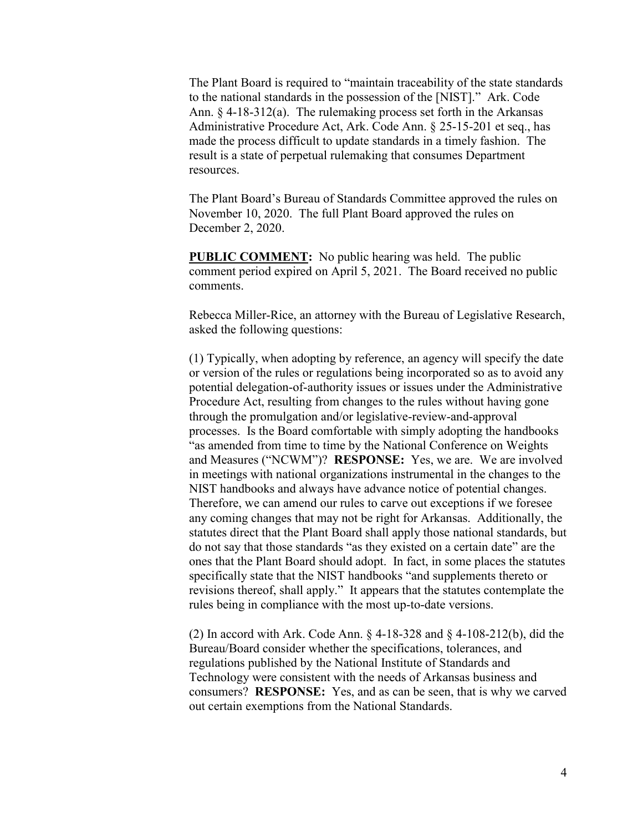The Plant Board is required to "maintain traceability of the state standards to the national standards in the possession of the [NIST]." Ark. Code Ann. § 4-18-312(a). The rulemaking process set forth in the Arkansas Administrative Procedure Act, Ark. Code Ann. § 25-15-201 et seq., has made the process difficult to update standards in a timely fashion. The result is a state of perpetual rulemaking that consumes Department resources.

The Plant Board's Bureau of Standards Committee approved the rules on November 10, 2020. The full Plant Board approved the rules on December 2, 2020.

**PUBLIC COMMENT:** No public hearing was held. The public comment period expired on April 5, 2021. The Board received no public comments.

Rebecca Miller-Rice, an attorney with the Bureau of Legislative Research, asked the following questions:

(1) Typically, when adopting by reference, an agency will specify the date or version of the rules or regulations being incorporated so as to avoid any potential delegation-of-authority issues or issues under the Administrative Procedure Act, resulting from changes to the rules without having gone through the promulgation and/or legislative-review-and-approval processes. Is the Board comfortable with simply adopting the handbooks "as amended from time to time by the National Conference on Weights and Measures ("NCWM")? **RESPONSE:** Yes, we are. We are involved in meetings with national organizations instrumental in the changes to the NIST handbooks and always have advance notice of potential changes. Therefore, we can amend our rules to carve out exceptions if we foresee any coming changes that may not be right for Arkansas. Additionally, the statutes direct that the Plant Board shall apply those national standards, but do not say that those standards "as they existed on a certain date" are the ones that the Plant Board should adopt. In fact, in some places the statutes specifically state that the NIST handbooks "and supplements thereto or revisions thereof, shall apply." It appears that the statutes contemplate the rules being in compliance with the most up-to-date versions.

(2) In accord with Ark. Code Ann. § 4-18-328 and § 4-108-212(b), did the Bureau/Board consider whether the specifications, tolerances, and regulations published by the National Institute of Standards and Technology were consistent with the needs of Arkansas business and consumers? **RESPONSE:** Yes, and as can be seen, that is why we carved out certain exemptions from the National Standards.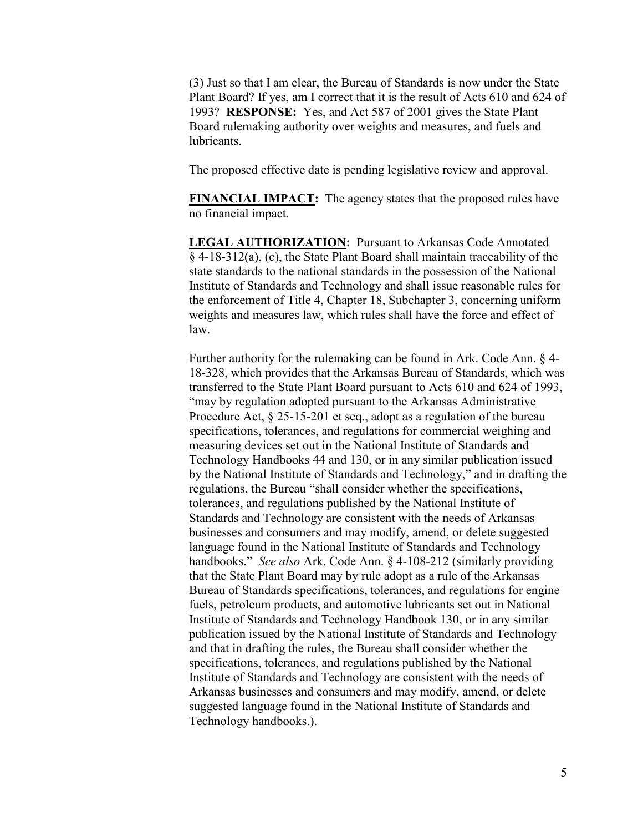(3) Just so that I am clear, the Bureau of Standards is now under the State Plant Board? If yes, am I correct that it is the result of Acts 610 and 624 of 1993? **RESPONSE:** Yes, and Act 587 of 2001 gives the State Plant Board rulemaking authority over weights and measures, and fuels and lubricants.

The proposed effective date is pending legislative review and approval.

**FINANCIAL IMPACT:** The agency states that the proposed rules have no financial impact.

**LEGAL AUTHORIZATION:** Pursuant to Arkansas Code Annotated § 4-18-312(a), (c), the State Plant Board shall maintain traceability of the state standards to the national standards in the possession of the National Institute of Standards and Technology and shall issue reasonable rules for the enforcement of Title 4, Chapter 18, Subchapter 3, concerning uniform weights and measures law, which rules shall have the force and effect of law.

Further authority for the rulemaking can be found in Ark. Code Ann. § 4- 18-328, which provides that the Arkansas Bureau of Standards, which was transferred to the State Plant Board pursuant to Acts 610 and 624 of 1993, "may by regulation adopted pursuant to the Arkansas Administrative Procedure Act, § 25-15-201 et seq., adopt as a regulation of the bureau specifications, tolerances, and regulations for commercial weighing and measuring devices set out in the National Institute of Standards and Technology Handbooks 44 and 130, or in any similar publication issued by the National Institute of Standards and Technology," and in drafting the regulations, the Bureau "shall consider whether the specifications, tolerances, and regulations published by the National Institute of Standards and Technology are consistent with the needs of Arkansas businesses and consumers and may modify, amend, or delete suggested language found in the National Institute of Standards and Technology handbooks." *See also* Ark. Code Ann. § 4-108-212 (similarly providing that the State Plant Board may by rule adopt as a rule of the Arkansas Bureau of Standards specifications, tolerances, and regulations for engine fuels, petroleum products, and automotive lubricants set out in National Institute of Standards and Technology Handbook 130, or in any similar publication issued by the National Institute of Standards and Technology and that in drafting the rules, the Bureau shall consider whether the specifications, tolerances, and regulations published by the National Institute of Standards and Technology are consistent with the needs of Arkansas businesses and consumers and may modify, amend, or delete suggested language found in the National Institute of Standards and Technology handbooks.).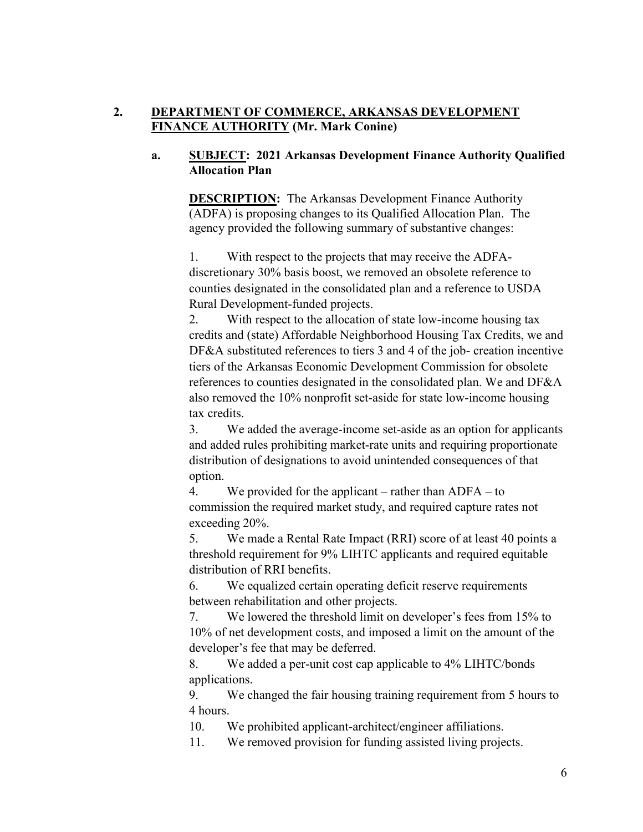# **2. DEPARTMENT OF COMMERCE, ARKANSAS DEVELOPMENT FINANCE AUTHORITY (Mr. Mark Conine)**

# **a. SUBJECT: 2021 Arkansas Development Finance Authority Qualified Allocation Plan**

**DESCRIPTION:** The Arkansas Development Finance Authority (ADFA) is proposing changes to its Qualified Allocation Plan. The agency provided the following summary of substantive changes:

1. With respect to the projects that may receive the ADFAdiscretionary 30% basis boost, we removed an obsolete reference to counties designated in the consolidated plan and a reference to USDA Rural Development-funded projects.

2. With respect to the allocation of state low-income housing tax credits and (state) Affordable Neighborhood Housing Tax Credits, we and DF&A substituted references to tiers 3 and 4 of the job- creation incentive tiers of the Arkansas Economic Development Commission for obsolete references to counties designated in the consolidated plan. We and DF&A also removed the 10% nonprofit set-aside for state low-income housing tax credits.

3. We added the average-income set-aside as an option for applicants and added rules prohibiting market-rate units and requiring proportionate distribution of designations to avoid unintended consequences of that option.

4. We provided for the applicant – rather than ADFA – to commission the required market study, and required capture rates not exceeding 20%.

5. We made a Rental Rate Impact (RRI) score of at least 40 points a threshold requirement for 9% LIHTC applicants and required equitable distribution of RRI benefits.

6. We equalized certain operating deficit reserve requirements between rehabilitation and other projects.

7. We lowered the threshold limit on developer's fees from 15% to 10% of net development costs, and imposed a limit on the amount of the developer's fee that may be deferred.

8. We added a per-unit cost cap applicable to 4% LIHTC/bonds applications.

9. We changed the fair housing training requirement from 5 hours to 4 hours.

10. We prohibited applicant-architect/engineer affiliations.

11. We removed provision for funding assisted living projects.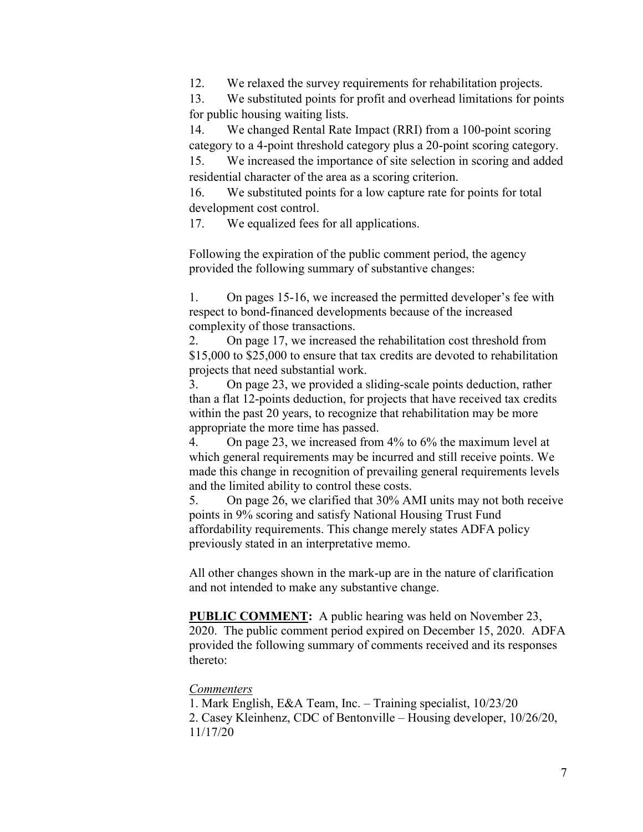12. We relaxed the survey requirements for rehabilitation projects.

13. We substituted points for profit and overhead limitations for points for public housing waiting lists.

14. We changed Rental Rate Impact (RRI) from a 100-point scoring category to a 4-point threshold category plus a 20-point scoring category.

15. We increased the importance of site selection in scoring and added residential character of the area as a scoring criterion.

16. We substituted points for a low capture rate for points for total development cost control.

17. We equalized fees for all applications.

Following the expiration of the public comment period, the agency provided the following summary of substantive changes:

1. On pages 15-16, we increased the permitted developer's fee with respect to bond-financed developments because of the increased complexity of those transactions.

2. On page 17, we increased the rehabilitation cost threshold from \$15,000 to \$25,000 to ensure that tax credits are devoted to rehabilitation projects that need substantial work.

3. On page 23, we provided a sliding-scale points deduction, rather than a flat 12-points deduction, for projects that have received tax credits within the past 20 years, to recognize that rehabilitation may be more appropriate the more time has passed.

4. On page 23, we increased from 4% to 6% the maximum level at which general requirements may be incurred and still receive points. We made this change in recognition of prevailing general requirements levels and the limited ability to control these costs.

5. On page 26, we clarified that 30% AMI units may not both receive points in 9% scoring and satisfy National Housing Trust Fund affordability requirements. This change merely states ADFA policy previously stated in an interpretative memo.

All other changes shown in the mark-up are in the nature of clarification and not intended to make any substantive change.

**PUBLIC COMMENT:** A public hearing was held on November 23, 2020. The public comment period expired on December 15, 2020. ADFA provided the following summary of comments received and its responses thereto:

#### *Commenters*

1. Mark English, E&A Team, Inc. – Training specialist, 10/23/20 2. Casey Kleinhenz, CDC of Bentonville – Housing developer, 10/26/20, 11/17/20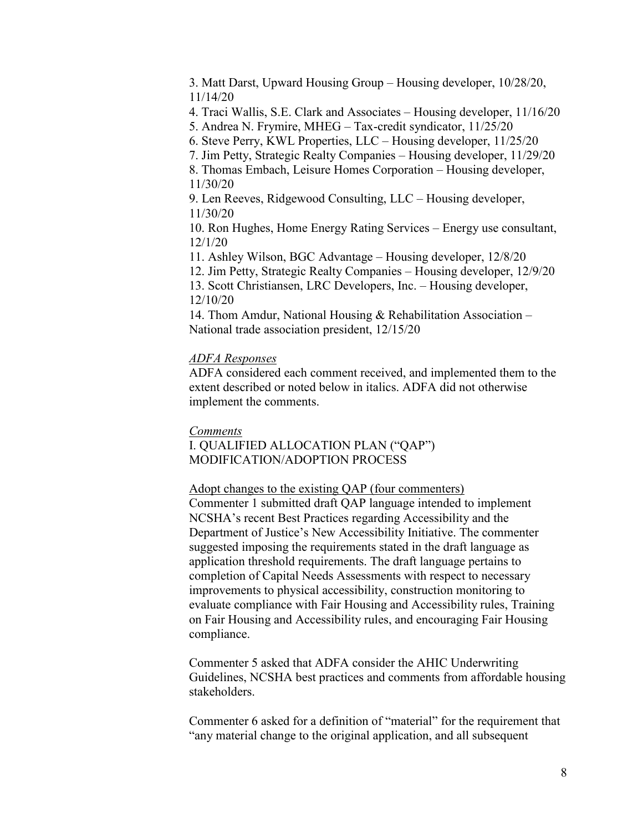3. Matt Darst, Upward Housing Group – Housing developer, 10/28/20, 11/14/20

4. Traci Wallis, S.E. Clark and Associates – Housing developer, 11/16/20

5. Andrea N. Frymire, MHEG – Tax-credit syndicator, 11/25/20

- 6. Steve Perry, KWL Properties, LLC Housing developer, 11/25/20
- 7. Jim Petty, Strategic Realty Companies Housing developer, 11/29/20

8. Thomas Embach, Leisure Homes Corporation – Housing developer, 11/30/20

9. Len Reeves, Ridgewood Consulting, LLC – Housing developer, 11/30/20

10. Ron Hughes, Home Energy Rating Services – Energy use consultant, 12/1/20

11. Ashley Wilson, BGC Advantage – Housing developer, 12/8/20

12. Jim Petty, Strategic Realty Companies – Housing developer, 12/9/20

13. Scott Christiansen, LRC Developers, Inc. – Housing developer, 12/10/20

14. Thom Amdur, National Housing & Rehabilitation Association – National trade association president, 12/15/20

### *ADFA Responses*

ADFA considered each comment received, and implemented them to the extent described or noted below in italics. ADFA did not otherwise implement the comments.

#### *Comments*

I. QUALIFIED ALLOCATION PLAN ("QAP") MODIFICATION/ADOPTION PROCESS

#### Adopt changes to the existing QAP (four commenters)

Commenter 1 submitted draft QAP language intended to implement NCSHA's recent Best Practices regarding Accessibility and the Department of Justice's New Accessibility Initiative. The commenter suggested imposing the requirements stated in the draft language as application threshold requirements. The draft language pertains to completion of Capital Needs Assessments with respect to necessary improvements to physical accessibility, construction monitoring to evaluate compliance with Fair Housing and Accessibility rules, Training on Fair Housing and Accessibility rules, and encouraging Fair Housing compliance.

Commenter 5 asked that ADFA consider the AHIC Underwriting Guidelines, NCSHA best practices and comments from affordable housing stakeholders.

Commenter 6 asked for a definition of "material" for the requirement that "any material change to the original application, and all subsequent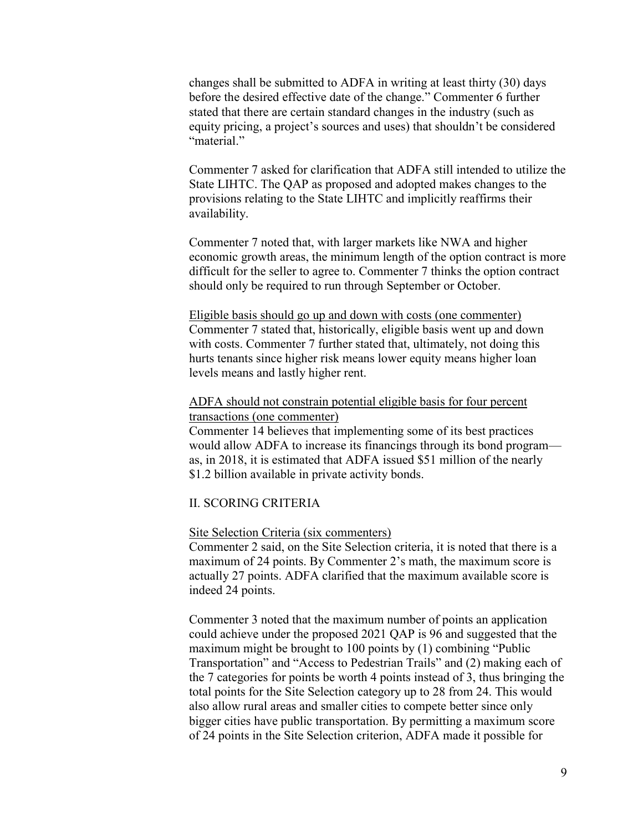changes shall be submitted to ADFA in writing at least thirty (30) days before the desired effective date of the change." Commenter 6 further stated that there are certain standard changes in the industry (such as equity pricing, a project's sources and uses) that shouldn't be considered "material."

Commenter 7 asked for clarification that ADFA still intended to utilize the State LIHTC. The QAP as proposed and adopted makes changes to the provisions relating to the State LIHTC and implicitly reaffirms their availability.

Commenter 7 noted that, with larger markets like NWA and higher economic growth areas, the minimum length of the option contract is more difficult for the seller to agree to. Commenter 7 thinks the option contract should only be required to run through September or October.

Eligible basis should go up and down with costs (one commenter) Commenter 7 stated that, historically, eligible basis went up and down with costs. Commenter 7 further stated that, ultimately, not doing this hurts tenants since higher risk means lower equity means higher loan levels means and lastly higher rent.

### ADFA should not constrain potential eligible basis for four percent transactions (one commenter)

Commenter 14 believes that implementing some of its best practices would allow ADFA to increase its financings through its bond program as, in 2018, it is estimated that ADFA issued \$51 million of the nearly \$1.2 billion available in private activity bonds.

# II. SCORING CRITERIA

#### Site Selection Criteria (six commenters)

Commenter 2 said, on the Site Selection criteria, it is noted that there is a maximum of 24 points. By Commenter 2's math, the maximum score is actually 27 points. ADFA clarified that the maximum available score is indeed 24 points.

Commenter 3 noted that the maximum number of points an application could achieve under the proposed 2021 QAP is 96 and suggested that the maximum might be brought to 100 points by (1) combining "Public Transportation" and "Access to Pedestrian Trails" and (2) making each of the 7 categories for points be worth 4 points instead of 3, thus bringing the total points for the Site Selection category up to 28 from 24. This would also allow rural areas and smaller cities to compete better since only bigger cities have public transportation. By permitting a maximum score of 24 points in the Site Selection criterion, ADFA made it possible for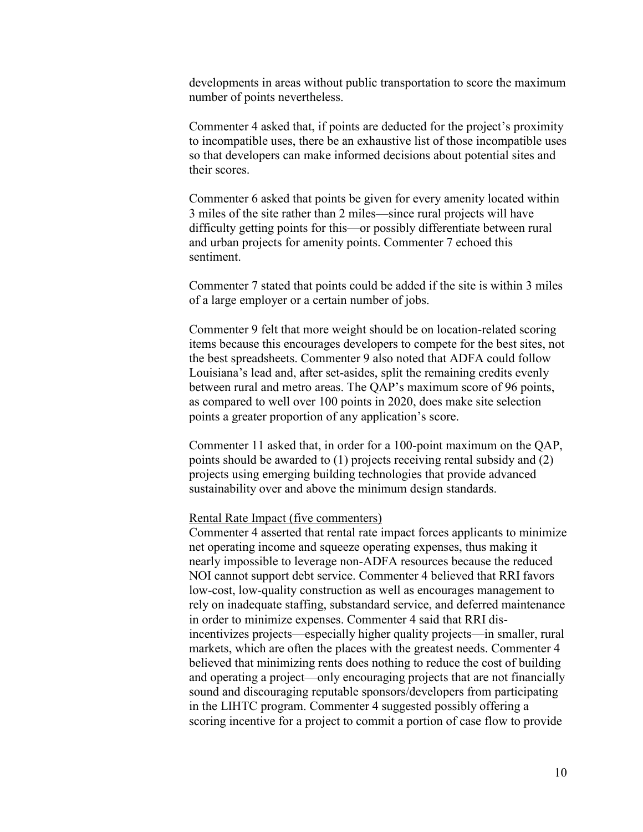developments in areas without public transportation to score the maximum number of points nevertheless.

Commenter 4 asked that, if points are deducted for the project's proximity to incompatible uses, there be an exhaustive list of those incompatible uses so that developers can make informed decisions about potential sites and their scores.

Commenter 6 asked that points be given for every amenity located within 3 miles of the site rather than 2 miles—since rural projects will have difficulty getting points for this—or possibly differentiate between rural and urban projects for amenity points. Commenter 7 echoed this sentiment.

Commenter 7 stated that points could be added if the site is within 3 miles of a large employer or a certain number of jobs.

Commenter 9 felt that more weight should be on location-related scoring items because this encourages developers to compete for the best sites, not the best spreadsheets. Commenter 9 also noted that ADFA could follow Louisiana's lead and, after set-asides, split the remaining credits evenly between rural and metro areas. The QAP's maximum score of 96 points, as compared to well over 100 points in 2020, does make site selection points a greater proportion of any application's score.

Commenter 11 asked that, in order for a 100-point maximum on the QAP, points should be awarded to (1) projects receiving rental subsidy and (2) projects using emerging building technologies that provide advanced sustainability over and above the minimum design standards.

#### Rental Rate Impact (five commenters)

Commenter 4 asserted that rental rate impact forces applicants to minimize net operating income and squeeze operating expenses, thus making it nearly impossible to leverage non-ADFA resources because the reduced NOI cannot support debt service. Commenter 4 believed that RRI favors low-cost, low-quality construction as well as encourages management to rely on inadequate staffing, substandard service, and deferred maintenance in order to minimize expenses. Commenter 4 said that RRI disincentivizes projects—especially higher quality projects—in smaller, rural markets, which are often the places with the greatest needs. Commenter 4 believed that minimizing rents does nothing to reduce the cost of building and operating a project—only encouraging projects that are not financially sound and discouraging reputable sponsors/developers from participating in the LIHTC program. Commenter 4 suggested possibly offering a scoring incentive for a project to commit a portion of case flow to provide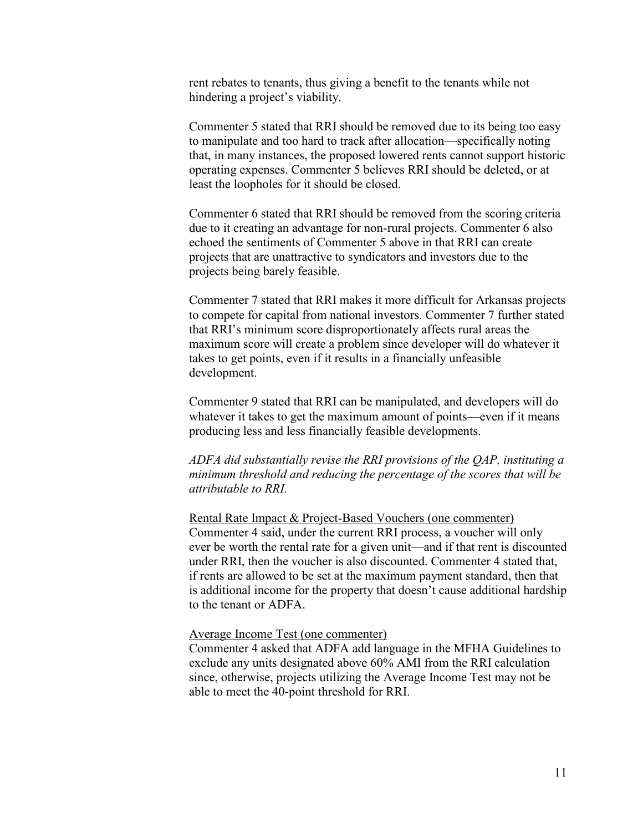rent rebates to tenants, thus giving a benefit to the tenants while not hindering a project's viability.

Commenter 5 stated that RRI should be removed due to its being too easy to manipulate and too hard to track after allocation—specifically noting that, in many instances, the proposed lowered rents cannot support historic operating expenses. Commenter 5 believes RRI should be deleted, or at least the loopholes for it should be closed.

Commenter 6 stated that RRI should be removed from the scoring criteria due to it creating an advantage for non-rural projects. Commenter 6 also echoed the sentiments of Commenter 5 above in that RRI can create projects that are unattractive to syndicators and investors due to the projects being barely feasible.

Commenter 7 stated that RRI makes it more difficult for Arkansas projects to compete for capital from national investors. Commenter 7 further stated that RRI's minimum score disproportionately affects rural areas the maximum score will create a problem since developer will do whatever it takes to get points, even if it results in a financially unfeasible development.

Commenter 9 stated that RRI can be manipulated, and developers will do whatever it takes to get the maximum amount of points—even if it means producing less and less financially feasible developments.

*ADFA did substantially revise the RRI provisions of the QAP, instituting a minimum threshold and reducing the percentage of the scores that will be attributable to RRI.*

Rental Rate Impact & Project-Based Vouchers (one commenter) Commenter 4 said, under the current RRI process, a voucher will only ever be worth the rental rate for a given unit—and if that rent is discounted under RRI, then the voucher is also discounted. Commenter 4 stated that, if rents are allowed to be set at the maximum payment standard, then that is additional income for the property that doesn't cause additional hardship to the tenant or ADFA.

#### Average Income Test (one commenter)

Commenter 4 asked that ADFA add language in the MFHA Guidelines to exclude any units designated above 60% AMI from the RRI calculation since, otherwise, projects utilizing the Average Income Test may not be able to meet the 40-point threshold for RRI.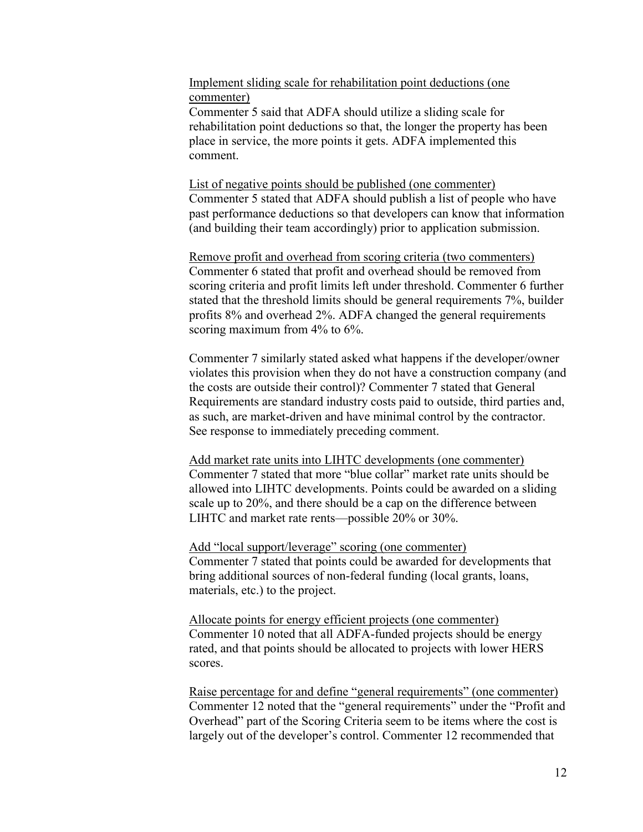Implement sliding scale for rehabilitation point deductions (one commenter)

Commenter 5 said that ADFA should utilize a sliding scale for rehabilitation point deductions so that, the longer the property has been place in service, the more points it gets. ADFA implemented this comment.

List of negative points should be published (one commenter) Commenter 5 stated that ADFA should publish a list of people who have past performance deductions so that developers can know that information (and building their team accordingly) prior to application submission.

Remove profit and overhead from scoring criteria (two commenters) Commenter 6 stated that profit and overhead should be removed from scoring criteria and profit limits left under threshold. Commenter 6 further stated that the threshold limits should be general requirements 7%, builder profits 8% and overhead 2%. ADFA changed the general requirements scoring maximum from 4% to 6%.

Commenter 7 similarly stated asked what happens if the developer/owner violates this provision when they do not have a construction company (and the costs are outside their control)? Commenter 7 stated that General Requirements are standard industry costs paid to outside, third parties and, as such, are market-driven and have minimal control by the contractor. See response to immediately preceding comment.

Add market rate units into LIHTC developments (one commenter) Commenter 7 stated that more "blue collar" market rate units should be allowed into LIHTC developments. Points could be awarded on a sliding scale up to 20%, and there should be a cap on the difference between LIHTC and market rate rents—possible 20% or 30%.

Add "local support/leverage" scoring (one commenter) Commenter 7 stated that points could be awarded for developments that bring additional sources of non-federal funding (local grants, loans, materials, etc.) to the project.

Allocate points for energy efficient projects (one commenter) Commenter 10 noted that all ADFA-funded projects should be energy rated, and that points should be allocated to projects with lower HERS scores.

Raise percentage for and define "general requirements" (one commenter) Commenter 12 noted that the "general requirements" under the "Profit and Overhead" part of the Scoring Criteria seem to be items where the cost is largely out of the developer's control. Commenter 12 recommended that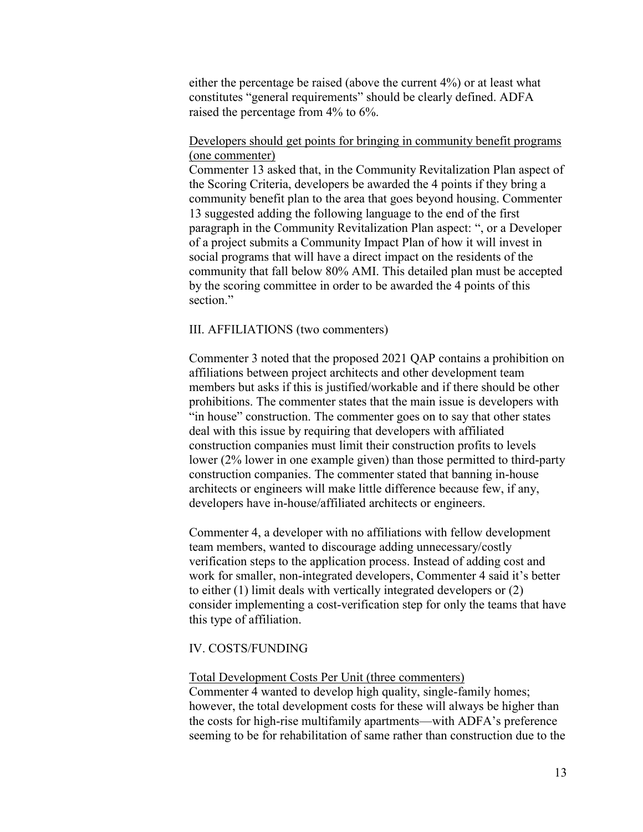either the percentage be raised (above the current 4%) or at least what constitutes "general requirements" should be clearly defined. ADFA raised the percentage from 4% to 6%.

### Developers should get points for bringing in community benefit programs (one commenter)

Commenter 13 asked that, in the Community Revitalization Plan aspect of the Scoring Criteria, developers be awarded the 4 points if they bring a community benefit plan to the area that goes beyond housing. Commenter 13 suggested adding the following language to the end of the first paragraph in the Community Revitalization Plan aspect: ", or a Developer of a project submits a Community Impact Plan of how it will invest in social programs that will have a direct impact on the residents of the community that fall below 80% AMI. This detailed plan must be accepted by the scoring committee in order to be awarded the 4 points of this section."

### III. AFFILIATIONS (two commenters)

Commenter 3 noted that the proposed 2021 QAP contains a prohibition on affiliations between project architects and other development team members but asks if this is justified/workable and if there should be other prohibitions. The commenter states that the main issue is developers with "in house" construction. The commenter goes on to say that other states deal with this issue by requiring that developers with affiliated construction companies must limit their construction profits to levels lower (2% lower in one example given) than those permitted to third-party construction companies. The commenter stated that banning in-house architects or engineers will make little difference because few, if any, developers have in-house/affiliated architects or engineers.

Commenter 4, a developer with no affiliations with fellow development team members, wanted to discourage adding unnecessary/costly verification steps to the application process. Instead of adding cost and work for smaller, non-integrated developers, Commenter 4 said it's better to either (1) limit deals with vertically integrated developers or (2) consider implementing a cost-verification step for only the teams that have this type of affiliation.

#### IV. COSTS/FUNDING

#### Total Development Costs Per Unit (three commenters)

Commenter 4 wanted to develop high quality, single-family homes; however, the total development costs for these will always be higher than the costs for high-rise multifamily apartments—with ADFA's preference seeming to be for rehabilitation of same rather than construction due to the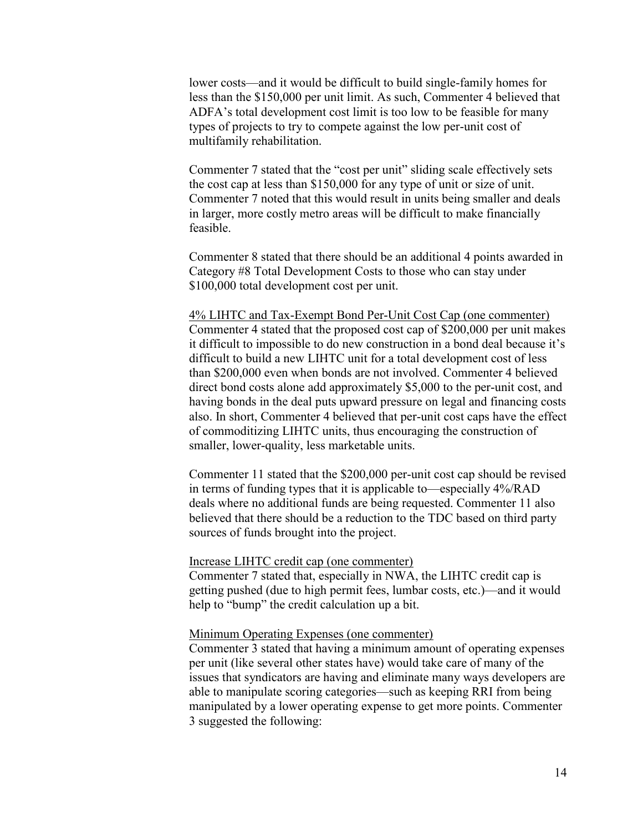lower costs—and it would be difficult to build single-family homes for less than the \$150,000 per unit limit. As such, Commenter 4 believed that ADFA's total development cost limit is too low to be feasible for many types of projects to try to compete against the low per-unit cost of multifamily rehabilitation.

Commenter 7 stated that the "cost per unit" sliding scale effectively sets the cost cap at less than \$150,000 for any type of unit or size of unit. Commenter 7 noted that this would result in units being smaller and deals in larger, more costly metro areas will be difficult to make financially feasible.

Commenter 8 stated that there should be an additional 4 points awarded in Category #8 Total Development Costs to those who can stay under \$100,000 total development cost per unit.

4% LIHTC and Tax-Exempt Bond Per-Unit Cost Cap (one commenter) Commenter 4 stated that the proposed cost cap of \$200,000 per unit makes it difficult to impossible to do new construction in a bond deal because it's difficult to build a new LIHTC unit for a total development cost of less than \$200,000 even when bonds are not involved. Commenter 4 believed direct bond costs alone add approximately \$5,000 to the per-unit cost, and having bonds in the deal puts upward pressure on legal and financing costs also. In short, Commenter 4 believed that per-unit cost caps have the effect of commoditizing LIHTC units, thus encouraging the construction of smaller, lower-quality, less marketable units.

Commenter 11 stated that the \$200,000 per-unit cost cap should be revised in terms of funding types that it is applicable to—especially 4%/RAD deals where no additional funds are being requested. Commenter 11 also believed that there should be a reduction to the TDC based on third party sources of funds brought into the project.

#### Increase LIHTC credit cap (one commenter)

Commenter 7 stated that, especially in NWA, the LIHTC credit cap is getting pushed (due to high permit fees, lumbar costs, etc.)—and it would help to "bump" the credit calculation up a bit.

#### Minimum Operating Expenses (one commenter)

Commenter 3 stated that having a minimum amount of operating expenses per unit (like several other states have) would take care of many of the issues that syndicators are having and eliminate many ways developers are able to manipulate scoring categories—such as keeping RRI from being manipulated by a lower operating expense to get more points. Commenter 3 suggested the following: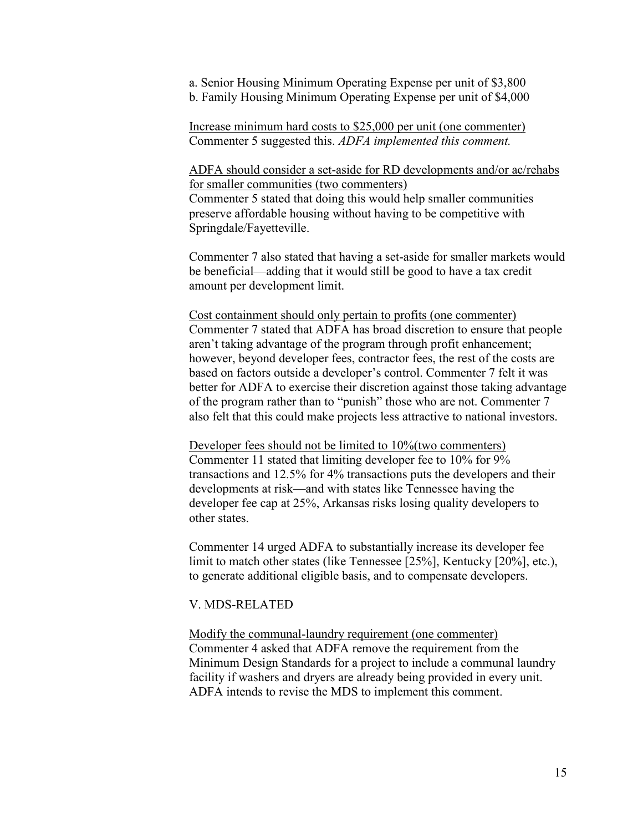a. Senior Housing Minimum Operating Expense per unit of \$3,800

b. Family Housing Minimum Operating Expense per unit of \$4,000

Increase minimum hard costs to \$25,000 per unit (one commenter) Commenter 5 suggested this. *ADFA implemented this comment.*

ADFA should consider a set-aside for RD developments and/or ac/rehabs for smaller communities (two commenters) Commenter 5 stated that doing this would help smaller communities preserve affordable housing without having to be competitive with Springdale/Fayetteville.

Commenter 7 also stated that having a set-aside for smaller markets would be beneficial—adding that it would still be good to have a tax credit amount per development limit.

Cost containment should only pertain to profits (one commenter) Commenter 7 stated that ADFA has broad discretion to ensure that people aren't taking advantage of the program through profit enhancement; however, beyond developer fees, contractor fees, the rest of the costs are based on factors outside a developer's control. Commenter 7 felt it was better for ADFA to exercise their discretion against those taking advantage of the program rather than to "punish" those who are not. Commenter 7 also felt that this could make projects less attractive to national investors.

Developer fees should not be limited to 10%(two commenters) Commenter 11 stated that limiting developer fee to 10% for 9% transactions and 12.5% for 4% transactions puts the developers and their developments at risk—and with states like Tennessee having the developer fee cap at 25%, Arkansas risks losing quality developers to other states.

Commenter 14 urged ADFA to substantially increase its developer fee limit to match other states (like Tennessee [25%], Kentucky [20%], etc.), to generate additional eligible basis, and to compensate developers.

### V. MDS-RELATED

Modify the communal-laundry requirement (one commenter) Commenter 4 asked that ADFA remove the requirement from the Minimum Design Standards for a project to include a communal laundry facility if washers and dryers are already being provided in every unit. ADFA intends to revise the MDS to implement this comment.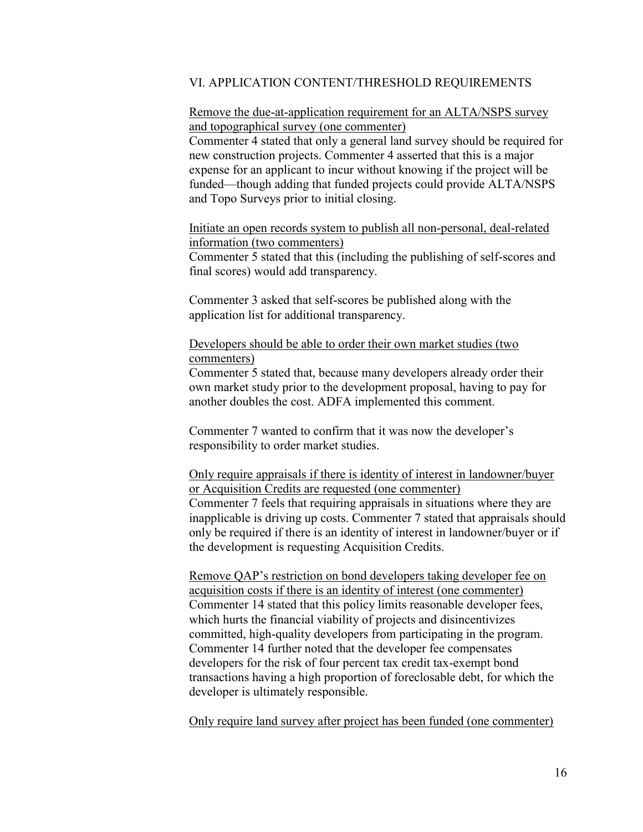#### VI. APPLICATION CONTENT/THRESHOLD REQUIREMENTS

### Remove the due-at-application requirement for an ALTA/NSPS survey and topographical survey (one commenter)

Commenter 4 stated that only a general land survey should be required for new construction projects. Commenter 4 asserted that this is a major expense for an applicant to incur without knowing if the project will be funded—though adding that funded projects could provide ALTA/NSPS and Topo Surveys prior to initial closing.

Initiate an open records system to publish all non-personal, deal-related information (two commenters) Commenter 5 stated that this (including the publishing of self-scores and final scores) would add transparency.

Commenter 3 asked that self-scores be published along with the application list for additional transparency.

### Developers should be able to order their own market studies (two commenters)

Commenter 5 stated that, because many developers already order their own market study prior to the development proposal, having to pay for another doubles the cost. ADFA implemented this comment.

Commenter 7 wanted to confirm that it was now the developer's responsibility to order market studies.

Only require appraisals if there is identity of interest in landowner/buyer or Acquisition Credits are requested (one commenter) Commenter 7 feels that requiring appraisals in situations where they are inapplicable is driving up costs. Commenter 7 stated that appraisals should only be required if there is an identity of interest in landowner/buyer or if the development is requesting Acquisition Credits.

Remove QAP's restriction on bond developers taking developer fee on acquisition costs if there is an identity of interest (one commenter) Commenter 14 stated that this policy limits reasonable developer fees, which hurts the financial viability of projects and disincentivizes committed, high-quality developers from participating in the program. Commenter 14 further noted that the developer fee compensates developers for the risk of four percent tax credit tax-exempt bond transactions having a high proportion of foreclosable debt, for which the developer is ultimately responsible.

Only require land survey after project has been funded (one commenter)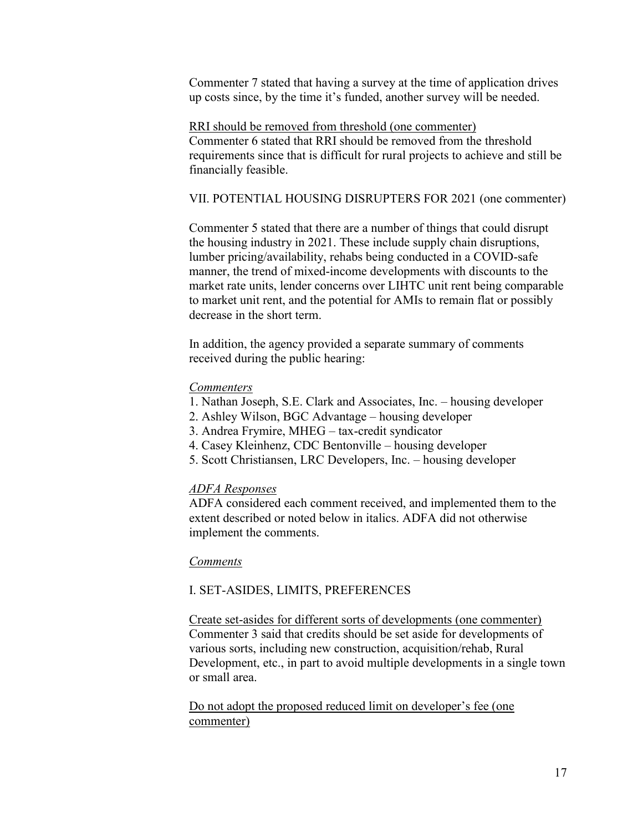Commenter 7 stated that having a survey at the time of application drives up costs since, by the time it's funded, another survey will be needed.

RRI should be removed from threshold (one commenter) Commenter 6 stated that RRI should be removed from the threshold requirements since that is difficult for rural projects to achieve and still be financially feasible.

### VII. POTENTIAL HOUSING DISRUPTERS FOR 2021 (one commenter)

Commenter 5 stated that there are a number of things that could disrupt the housing industry in 2021. These include supply chain disruptions, lumber pricing/availability, rehabs being conducted in a COVID-safe manner, the trend of mixed-income developments with discounts to the market rate units, lender concerns over LIHTC unit rent being comparable to market unit rent, and the potential for AMIs to remain flat or possibly decrease in the short term.

In addition, the agency provided a separate summary of comments received during the public hearing:

#### *Commenters*

- 1. Nathan Joseph, S.E. Clark and Associates, Inc. housing developer
- 2. Ashley Wilson, BGC Advantage housing developer
- 3. Andrea Frymire, MHEG tax-credit syndicator
- 4. Casey Kleinhenz, CDC Bentonville housing developer
- 5. Scott Christiansen, LRC Developers, Inc. housing developer

#### *ADFA Responses*

ADFA considered each comment received, and implemented them to the extent described or noted below in italics. ADFA did not otherwise implement the comments.

### *Comments*

#### I. SET-ASIDES, LIMITS, PREFERENCES

Create set-asides for different sorts of developments (one commenter) Commenter 3 said that credits should be set aside for developments of various sorts, including new construction, acquisition/rehab, Rural Development, etc., in part to avoid multiple developments in a single town or small area.

Do not adopt the proposed reduced limit on developer's fee (one commenter)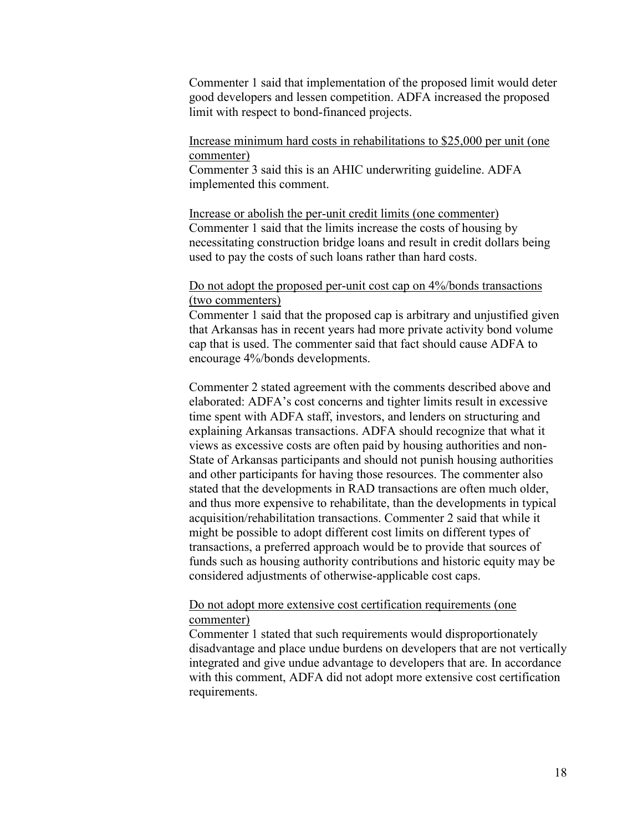Commenter 1 said that implementation of the proposed limit would deter good developers and lessen competition. ADFA increased the proposed limit with respect to bond-financed projects.

### Increase minimum hard costs in rehabilitations to \$25,000 per unit (one commenter)

Commenter 3 said this is an AHIC underwriting guideline. ADFA implemented this comment.

Increase or abolish the per-unit credit limits (one commenter) Commenter 1 said that the limits increase the costs of housing by necessitating construction bridge loans and result in credit dollars being used to pay the costs of such loans rather than hard costs.

### Do not adopt the proposed per-unit cost cap on 4%/bonds transactions (two commenters)

Commenter 1 said that the proposed cap is arbitrary and unjustified given that Arkansas has in recent years had more private activity bond volume cap that is used. The commenter said that fact should cause ADFA to encourage 4%/bonds developments.

Commenter 2 stated agreement with the comments described above and elaborated: ADFA's cost concerns and tighter limits result in excessive time spent with ADFA staff, investors, and lenders on structuring and explaining Arkansas transactions. ADFA should recognize that what it views as excessive costs are often paid by housing authorities and non-State of Arkansas participants and should not punish housing authorities and other participants for having those resources. The commenter also stated that the developments in RAD transactions are often much older, and thus more expensive to rehabilitate, than the developments in typical acquisition/rehabilitation transactions. Commenter 2 said that while it might be possible to adopt different cost limits on different types of transactions, a preferred approach would be to provide that sources of funds such as housing authority contributions and historic equity may be considered adjustments of otherwise-applicable cost caps.

### Do not adopt more extensive cost certification requirements (one commenter)

Commenter 1 stated that such requirements would disproportionately disadvantage and place undue burdens on developers that are not vertically integrated and give undue advantage to developers that are. In accordance with this comment, ADFA did not adopt more extensive cost certification requirements.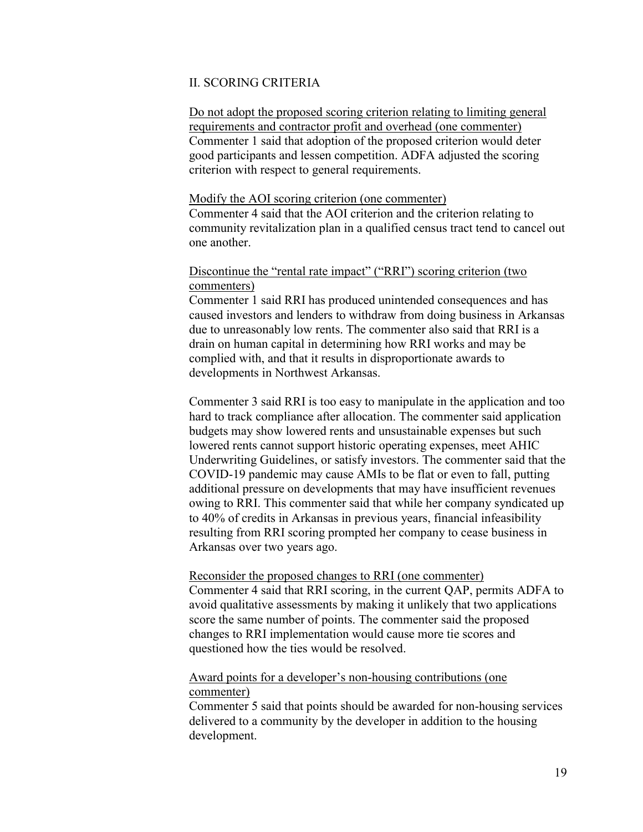### II. SCORING CRITERIA

Do not adopt the proposed scoring criterion relating to limiting general requirements and contractor profit and overhead (one commenter) Commenter 1 said that adoption of the proposed criterion would deter good participants and lessen competition. ADFA adjusted the scoring criterion with respect to general requirements.

#### Modify the AOI scoring criterion (one commenter)

Commenter 4 said that the AOI criterion and the criterion relating to community revitalization plan in a qualified census tract tend to cancel out one another.

### Discontinue the "rental rate impact" ("RRI") scoring criterion (two commenters)

Commenter 1 said RRI has produced unintended consequences and has caused investors and lenders to withdraw from doing business in Arkansas due to unreasonably low rents. The commenter also said that RRI is a drain on human capital in determining how RRI works and may be complied with, and that it results in disproportionate awards to developments in Northwest Arkansas.

Commenter 3 said RRI is too easy to manipulate in the application and too hard to track compliance after allocation. The commenter said application budgets may show lowered rents and unsustainable expenses but such lowered rents cannot support historic operating expenses, meet AHIC Underwriting Guidelines, or satisfy investors. The commenter said that the COVID-19 pandemic may cause AMIs to be flat or even to fall, putting additional pressure on developments that may have insufficient revenues owing to RRI. This commenter said that while her company syndicated up to 40% of credits in Arkansas in previous years, financial infeasibility resulting from RRI scoring prompted her company to cease business in Arkansas over two years ago.

#### Reconsider the proposed changes to RRI (one commenter)

Commenter 4 said that RRI scoring, in the current QAP, permits ADFA to avoid qualitative assessments by making it unlikely that two applications score the same number of points. The commenter said the proposed changes to RRI implementation would cause more tie scores and questioned how the ties would be resolved.

### Award points for a developer's non-housing contributions (one commenter)

Commenter 5 said that points should be awarded for non-housing services delivered to a community by the developer in addition to the housing development.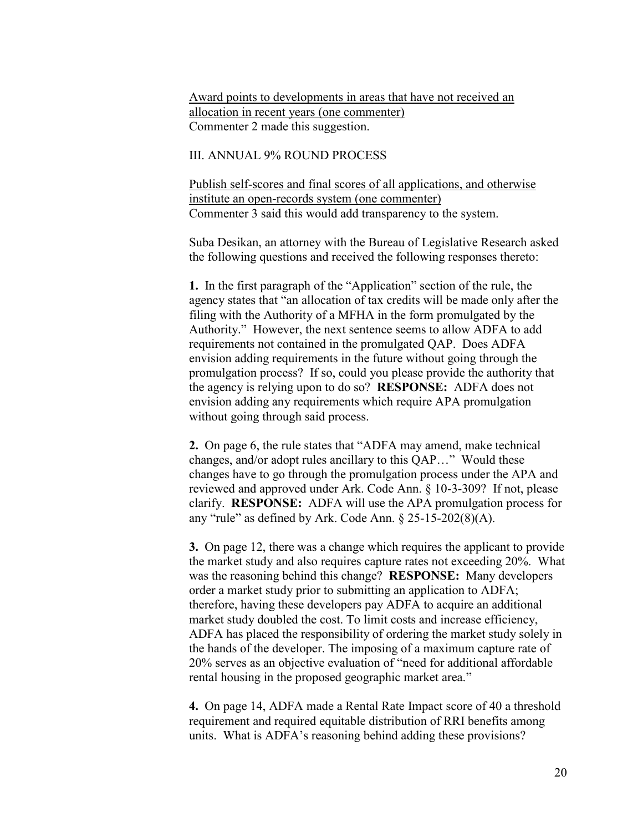Award points to developments in areas that have not received an allocation in recent years (one commenter) Commenter 2 made this suggestion.

#### III. ANNUAL 9% ROUND PROCESS

Publish self-scores and final scores of all applications, and otherwise institute an open-records system (one commenter) Commenter 3 said this would add transparency to the system.

Suba Desikan, an attorney with the Bureau of Legislative Research asked the following questions and received the following responses thereto:

**1.** In the first paragraph of the "Application" section of the rule, the agency states that "an allocation of tax credits will be made only after the filing with the Authority of a MFHA in the form promulgated by the Authority." However, the next sentence seems to allow ADFA to add requirements not contained in the promulgated QAP. Does ADFA envision adding requirements in the future without going through the promulgation process? If so, could you please provide the authority that the agency is relying upon to do so? **RESPONSE:** ADFA does not envision adding any requirements which require APA promulgation without going through said process.

**2.** On page 6, the rule states that "ADFA may amend, make technical changes, and/or adopt rules ancillary to this QAP…" Would these changes have to go through the promulgation process under the APA and reviewed and approved under Ark. Code Ann. § 10-3-309? If not, please clarify. **RESPONSE:** ADFA will use the APA promulgation process for any "rule" as defined by Ark. Code Ann.  $\S 25$ -15-202(8)(A).

**3.** On page 12, there was a change which requires the applicant to provide the market study and also requires capture rates not exceeding 20%. What was the reasoning behind this change? **RESPONSE:** Many developers order a market study prior to submitting an application to ADFA; therefore, having these developers pay ADFA to acquire an additional market study doubled the cost. To limit costs and increase efficiency, ADFA has placed the responsibility of ordering the market study solely in the hands of the developer. The imposing of a maximum capture rate of 20% serves as an objective evaluation of "need for additional affordable rental housing in the proposed geographic market area."

**4.** On page 14, ADFA made a Rental Rate Impact score of 40 a threshold requirement and required equitable distribution of RRI benefits among units. What is ADFA's reasoning behind adding these provisions?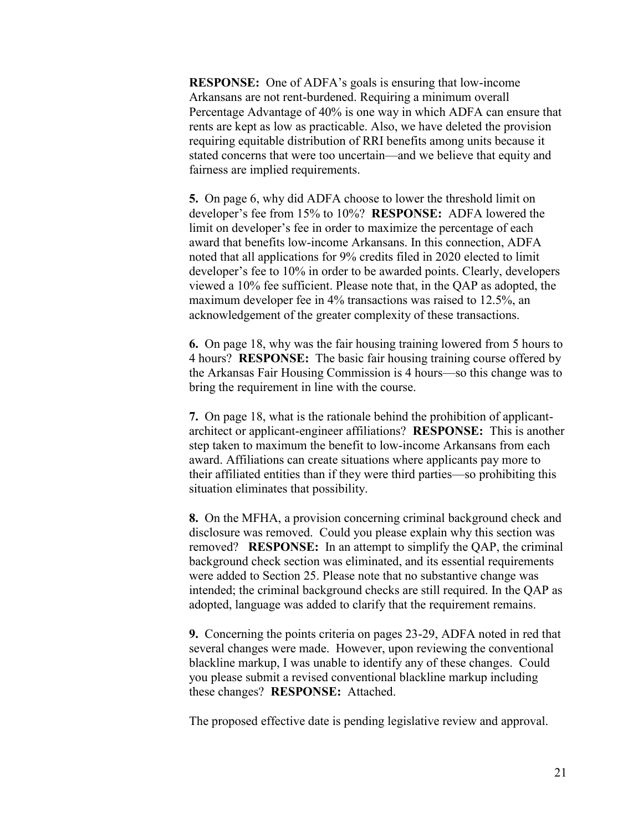**RESPONSE:** One of ADFA's goals is ensuring that low-income Arkansans are not rent-burdened. Requiring a minimum overall Percentage Advantage of 40% is one way in which ADFA can ensure that rents are kept as low as practicable. Also, we have deleted the provision requiring equitable distribution of RRI benefits among units because it stated concerns that were too uncertain—and we believe that equity and fairness are implied requirements.

**5.** On page 6, why did ADFA choose to lower the threshold limit on developer's fee from 15% to 10%? **RESPONSE:** ADFA lowered the limit on developer's fee in order to maximize the percentage of each award that benefits low-income Arkansans. In this connection, ADFA noted that all applications for 9% credits filed in 2020 elected to limit developer's fee to 10% in order to be awarded points. Clearly, developers viewed a 10% fee sufficient. Please note that, in the QAP as adopted, the maximum developer fee in 4% transactions was raised to 12.5%, an acknowledgement of the greater complexity of these transactions.

**6.** On page 18, why was the fair housing training lowered from 5 hours to 4 hours? **RESPONSE:** The basic fair housing training course offered by the Arkansas Fair Housing Commission is 4 hours—so this change was to bring the requirement in line with the course.

**7.** On page 18, what is the rationale behind the prohibition of applicantarchitect or applicant-engineer affiliations? **RESPONSE:** This is another step taken to maximum the benefit to low-income Arkansans from each award. Affiliations can create situations where applicants pay more to their affiliated entities than if they were third parties—so prohibiting this situation eliminates that possibility.

**8.** On the MFHA, a provision concerning criminal background check and disclosure was removed. Could you please explain why this section was removed? **RESPONSE:** In an attempt to simplify the QAP, the criminal background check section was eliminated, and its essential requirements were added to Section 25. Please note that no substantive change was intended; the criminal background checks are still required. In the QAP as adopted, language was added to clarify that the requirement remains.

**9.** Concerning the points criteria on pages 23-29, ADFA noted in red that several changes were made. However, upon reviewing the conventional blackline markup, I was unable to identify any of these changes. Could you please submit a revised conventional blackline markup including these changes? **RESPONSE:** Attached.

The proposed effective date is pending legislative review and approval.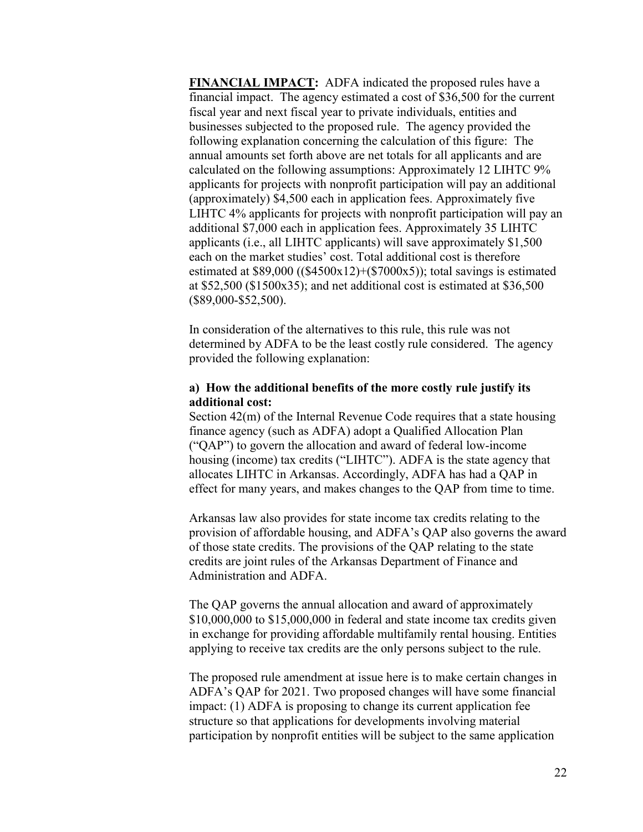**FINANCIAL IMPACT:** ADFA indicated the proposed rules have a financial impact. The agency estimated a cost of \$36,500 for the current fiscal year and next fiscal year to private individuals, entities and businesses subjected to the proposed rule. The agency provided the following explanation concerning the calculation of this figure: The annual amounts set forth above are net totals for all applicants and are calculated on the following assumptions: Approximately 12 LIHTC 9% applicants for projects with nonprofit participation will pay an additional (approximately) \$4,500 each in application fees. Approximately five LIHTC 4% applicants for projects with nonprofit participation will pay an additional \$7,000 each in application fees. Approximately 35 LIHTC applicants (i.e., all LIHTC applicants) will save approximately \$1,500 each on the market studies' cost. Total additional cost is therefore estimated at \$89,000 ((\$4500x12)+(\$7000x5)); total savings is estimated at \$52,500 (\$1500x35); and net additional cost is estimated at \$36,500 (\$89,000-\$52,500).

In consideration of the alternatives to this rule, this rule was not determined by ADFA to be the least costly rule considered. The agency provided the following explanation:

### **a) How the additional benefits of the more costly rule justify its additional cost:**

Section 42(m) of the Internal Revenue Code requires that a state housing finance agency (such as ADFA) adopt a Qualified Allocation Plan ("QAP") to govern the allocation and award of federal low-income housing (income) tax credits ("LIHTC"). ADFA is the state agency that allocates LIHTC in Arkansas. Accordingly, ADFA has had a QAP in effect for many years, and makes changes to the QAP from time to time.

Arkansas law also provides for state income tax credits relating to the provision of affordable housing, and ADFA's QAP also governs the award of those state credits. The provisions of the QAP relating to the state credits are joint rules of the Arkansas Department of Finance and Administration and ADFA.

The QAP governs the annual allocation and award of approximately \$10,000,000 to \$15,000,000 in federal and state income tax credits given in exchange for providing affordable multifamily rental housing. Entities applying to receive tax credits are the only persons subject to the rule.

The proposed rule amendment at issue here is to make certain changes in ADFA's QAP for 2021. Two proposed changes will have some financial impact: (1) ADFA is proposing to change its current application fee structure so that applications for developments involving material participation by nonprofit entities will be subject to the same application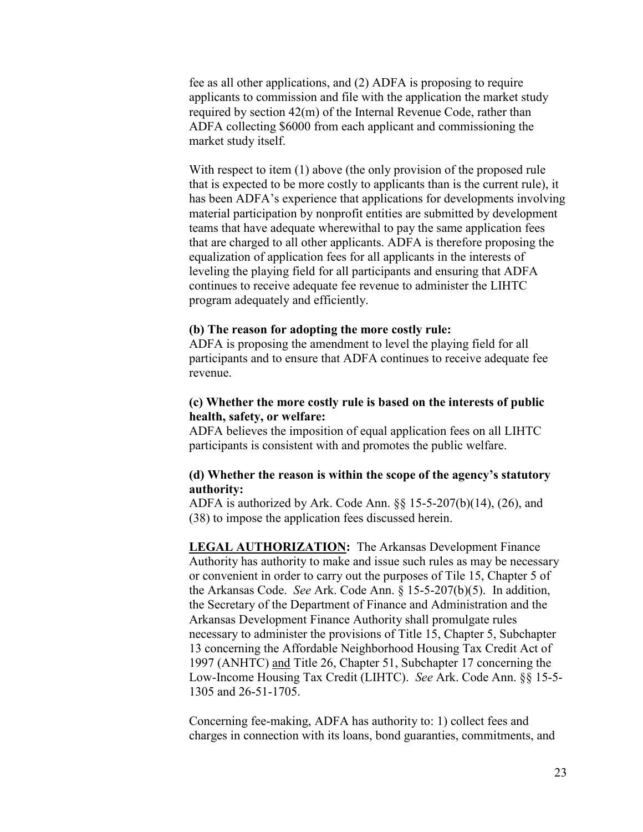fee as all other applications, and (2) ADFA is proposing to require applicants to commission and file with the application the market study required by section 42(m) of the Internal Revenue Code, rather than ADFA collecting \$6000 from each applicant and commissioning the market study itself.

With respect to item (1) above (the only provision of the proposed rule that is expected to be more costly to applicants than is the current rule), it has been ADFA's experience that applications for developments involving material participation by nonprofit entities are submitted by development teams that have adequate wherewithal to pay the same application fees that are charged to all other applicants. ADFA is therefore proposing the equalization of application fees for all applicants in the interests of leveling the playing field for all participants and ensuring that ADFA continues to receive adequate fee revenue to administer the LIHTC program adequately and efficiently.

#### **(b) The reason for adopting the more costly rule:**

ADFA is proposing the amendment to level the playing field for all participants and to ensure that ADFA continues to receive adequate fee revenue.

### **(c) Whether the more costly rule is based on the interests of public health, safety, or welfare:**

ADFA believes the imposition of equal application fees on all LIHTC participants is consistent with and promotes the public welfare.

### **(d) Whether the reason is within the scope of the agency's statutory authority:**

ADFA is authorized by Ark. Code Ann.  $\S$ § 15-5-207(b)(14), (26), and (38) to impose the application fees discussed herein.

**LEGAL AUTHORIZATION:** The Arkansas Development Finance Authority has authority to make and issue such rules as may be necessary or convenient in order to carry out the purposes of Tile 15, Chapter 5 of the Arkansas Code. *See* Ark. Code Ann. § 15-5-207(b)(5). In addition, the Secretary of the Department of Finance and Administration and the Arkansas Development Finance Authority shall promulgate rules necessary to administer the provisions of Title 15, Chapter 5, Subchapter 13 concerning the Affordable Neighborhood Housing Tax Credit Act of 1997 (ANHTC) and Title 26, Chapter 51, Subchapter 17 concerning the Low-Income Housing Tax Credit (LIHTC). *See* Ark. Code Ann. §§ 15-5- 1305 and 26-51-1705.

Concerning fee-making, ADFA has authority to: 1) collect fees and charges in connection with its loans, bond guaranties, commitments, and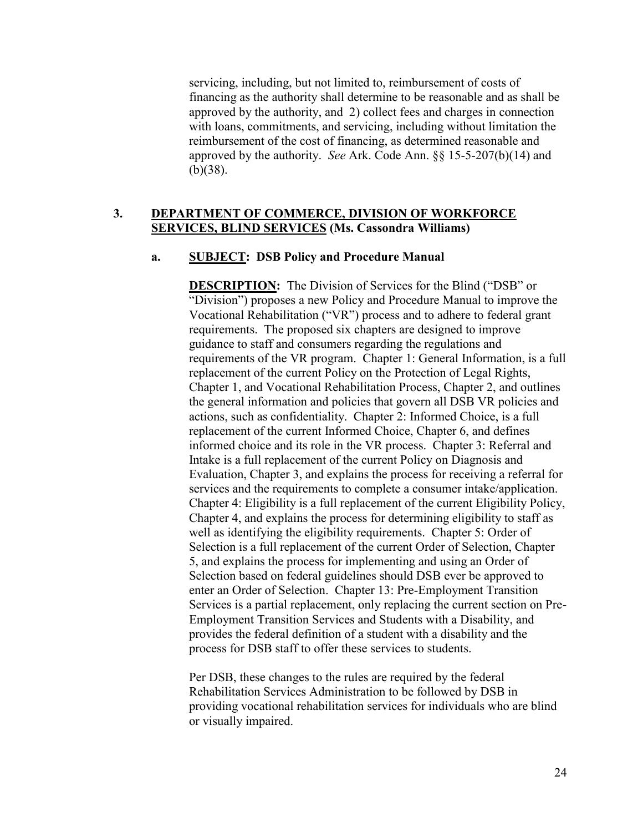servicing, including, but not limited to, reimbursement of costs of financing as the authority shall determine to be reasonable and as shall be approved by the authority, and 2) collect fees and charges in connection with loans, commitments, and servicing, including without limitation the reimbursement of the cost of financing, as determined reasonable and approved by the authority. *See* Ark. Code Ann. §§ 15-5-207(b)(14) and (b)(38).

# **3. DEPARTMENT OF COMMERCE, DIVISION OF WORKFORCE SERVICES, BLIND SERVICES (Ms. Cassondra Williams)**

### **a. SUBJECT: DSB Policy and Procedure Manual**

**DESCRIPTION:** The Division of Services for the Blind ("DSB" or "Division") proposes a new Policy and Procedure Manual to improve the Vocational Rehabilitation ("VR") process and to adhere to federal grant requirements. The proposed six chapters are designed to improve guidance to staff and consumers regarding the regulations and requirements of the VR program. Chapter 1: General Information, is a full replacement of the current Policy on the Protection of Legal Rights, Chapter 1, and Vocational Rehabilitation Process, Chapter 2, and outlines the general information and policies that govern all DSB VR policies and actions, such as confidentiality. Chapter 2: Informed Choice, is a full replacement of the current Informed Choice, Chapter 6, and defines informed choice and its role in the VR process. Chapter 3: Referral and Intake is a full replacement of the current Policy on Diagnosis and Evaluation, Chapter 3, and explains the process for receiving a referral for services and the requirements to complete a consumer intake/application. Chapter 4: Eligibility is a full replacement of the current Eligibility Policy, Chapter 4, and explains the process for determining eligibility to staff as well as identifying the eligibility requirements. Chapter 5: Order of Selection is a full replacement of the current Order of Selection, Chapter 5, and explains the process for implementing and using an Order of Selection based on federal guidelines should DSB ever be approved to enter an Order of Selection. Chapter 13: Pre-Employment Transition Services is a partial replacement, only replacing the current section on Pre-Employment Transition Services and Students with a Disability, and provides the federal definition of a student with a disability and the process for DSB staff to offer these services to students.

Per DSB, these changes to the rules are required by the federal Rehabilitation Services Administration to be followed by DSB in providing vocational rehabilitation services for individuals who are blind or visually impaired.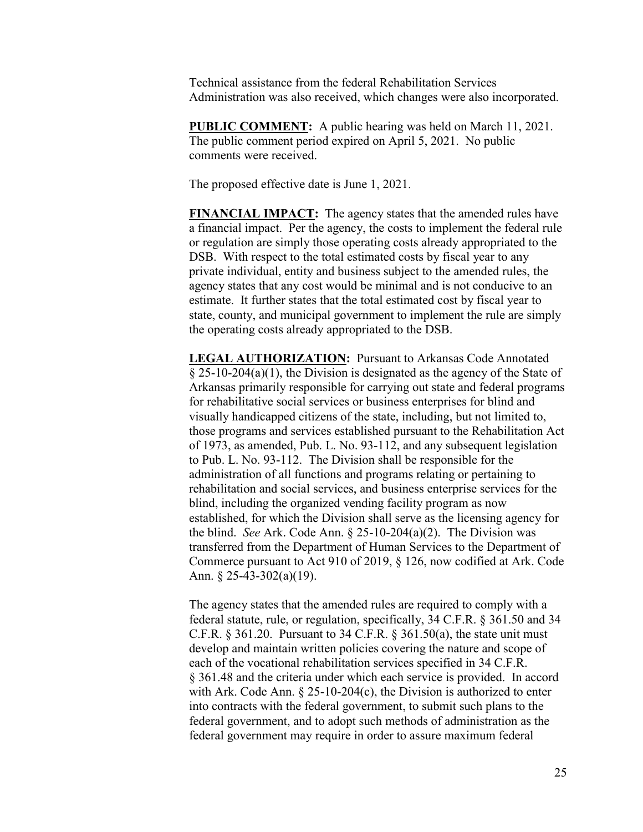Technical assistance from the federal Rehabilitation Services Administration was also received, which changes were also incorporated.

**PUBLIC COMMENT:** A public hearing was held on March 11, 2021. The public comment period expired on April 5, 2021. No public comments were received.

The proposed effective date is June 1, 2021.

**FINANCIAL IMPACT:** The agency states that the amended rules have a financial impact. Per the agency, the costs to implement the federal rule or regulation are simply those operating costs already appropriated to the DSB. With respect to the total estimated costs by fiscal year to any private individual, entity and business subject to the amended rules, the agency states that any cost would be minimal and is not conducive to an estimate. It further states that the total estimated cost by fiscal year to state, county, and municipal government to implement the rule are simply the operating costs already appropriated to the DSB.

**LEGAL AUTHORIZATION:** Pursuant to Arkansas Code Annotated  $\S 25-10-204(a)(1)$ , the Division is designated as the agency of the State of Arkansas primarily responsible for carrying out state and federal programs for rehabilitative social services or business enterprises for blind and visually handicapped citizens of the state, including, but not limited to, those programs and services established pursuant to the Rehabilitation Act of 1973, as amended, Pub. L. No. 93-112, and any subsequent legislation to Pub. L. No. 93-112. The Division shall be responsible for the administration of all functions and programs relating or pertaining to rehabilitation and social services, and business enterprise services for the blind, including the organized vending facility program as now established, for which the Division shall serve as the licensing agency for the blind. *See* Ark. Code Ann. § 25-10-204(a)(2). The Division was transferred from the Department of Human Services to the Department of Commerce pursuant to Act 910 of 2019, § 126, now codified at Ark. Code Ann. § 25-43-302(a)(19).

The agency states that the amended rules are required to comply with a federal statute, rule, or regulation, specifically, 34 C.F.R. § 361.50 and 34 C.F.R.  $\S 361.20$ . Pursuant to 34 C.F.R.  $\S 361.50(a)$ , the state unit must develop and maintain written policies covering the nature and scope of each of the vocational rehabilitation services specified in 34 C.F.R. § 361.48 and the criteria under which each service is provided. In accord with Ark. Code Ann. § 25-10-204(c), the Division is authorized to enter into contracts with the federal government, to submit such plans to the federal government, and to adopt such methods of administration as the federal government may require in order to assure maximum federal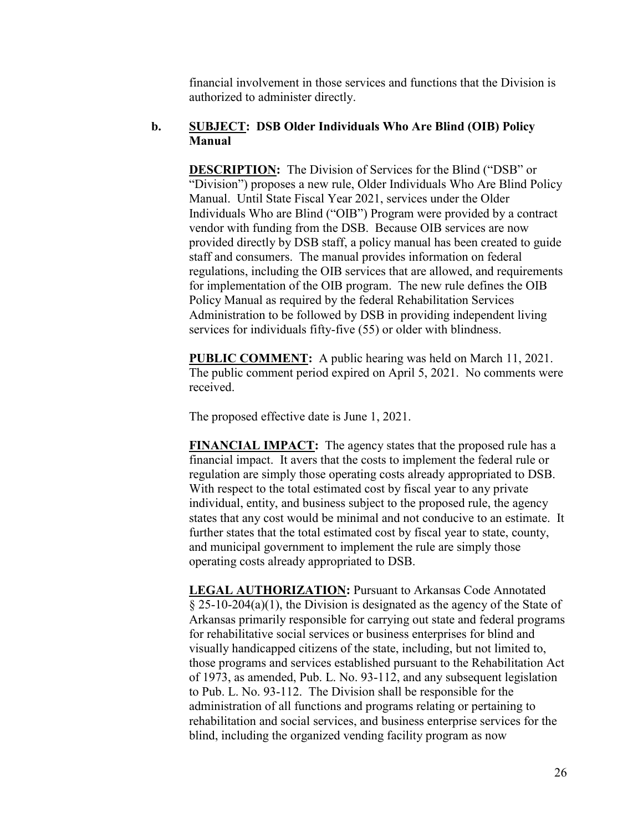financial involvement in those services and functions that the Division is authorized to administer directly.

# **b. SUBJECT: DSB Older Individuals Who Are Blind (OIB) Policy Manual**

**DESCRIPTION:** The Division of Services for the Blind ("DSB" or "Division") proposes a new rule, Older Individuals Who Are Blind Policy Manual. Until State Fiscal Year 2021, services under the Older Individuals Who are Blind ("OIB") Program were provided by a contract vendor with funding from the DSB. Because OIB services are now provided directly by DSB staff, a policy manual has been created to guide staff and consumers. The manual provides information on federal regulations, including the OIB services that are allowed, and requirements for implementation of the OIB program. The new rule defines the OIB Policy Manual as required by the federal Rehabilitation Services Administration to be followed by DSB in providing independent living services for individuals fifty-five (55) or older with blindness.

**PUBLIC COMMENT:** A public hearing was held on March 11, 2021. The public comment period expired on April 5, 2021. No comments were received.

The proposed effective date is June 1, 2021.

**FINANCIAL IMPACT:** The agency states that the proposed rule has a financial impact. It avers that the costs to implement the federal rule or regulation are simply those operating costs already appropriated to DSB. With respect to the total estimated cost by fiscal year to any private individual, entity, and business subject to the proposed rule, the agency states that any cost would be minimal and not conducive to an estimate. It further states that the total estimated cost by fiscal year to state, county, and municipal government to implement the rule are simply those operating costs already appropriated to DSB.

**LEGAL AUTHORIZATION:** Pursuant to Arkansas Code Annotated  $\S 25-10-204(a)(1)$ , the Division is designated as the agency of the State of Arkansas primarily responsible for carrying out state and federal programs for rehabilitative social services or business enterprises for blind and visually handicapped citizens of the state, including, but not limited to, those programs and services established pursuant to the Rehabilitation Act of 1973, as amended, Pub. L. No. 93-112, and any subsequent legislation to Pub. L. No. 93-112. The Division shall be responsible for the administration of all functions and programs relating or pertaining to rehabilitation and social services, and business enterprise services for the blind, including the organized vending facility program as now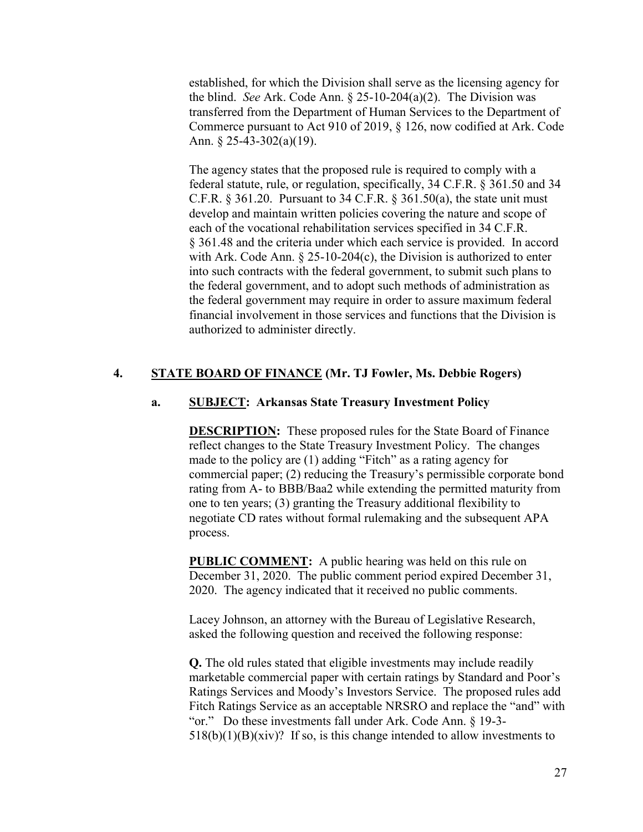established, for which the Division shall serve as the licensing agency for the blind. *See* Ark. Code Ann. § 25-10-204(a)(2). The Division was transferred from the Department of Human Services to the Department of Commerce pursuant to Act 910 of 2019, § 126, now codified at Ark. Code Ann. § 25-43-302(a)(19).

The agency states that the proposed rule is required to comply with a federal statute, rule, or regulation, specifically, 34 C.F.R. § 361.50 and 34 C.F.R.  $\S 361.20$ . Pursuant to 34 C.F.R.  $\S 361.50(a)$ , the state unit must develop and maintain written policies covering the nature and scope of each of the vocational rehabilitation services specified in 34 C.F.R. § 361.48 and the criteria under which each service is provided. In accord with Ark. Code Ann. § 25-10-204(c), the Division is authorized to enter into such contracts with the federal government, to submit such plans to the federal government, and to adopt such methods of administration as the federal government may require in order to assure maximum federal financial involvement in those services and functions that the Division is authorized to administer directly.

# **4. STATE BOARD OF FINANCE (Mr. TJ Fowler, Ms. Debbie Rogers)**

# **a. SUBJECT: Arkansas State Treasury Investment Policy**

**DESCRIPTION:** These proposed rules for the State Board of Finance reflect changes to the State Treasury Investment Policy. The changes made to the policy are (1) adding "Fitch" as a rating agency for commercial paper; (2) reducing the Treasury's permissible corporate bond rating from A- to BBB/Baa2 while extending the permitted maturity from one to ten years; (3) granting the Treasury additional flexibility to negotiate CD rates without formal rulemaking and the subsequent APA process.

**PUBLIC COMMENT:** A public hearing was held on this rule on December 31, 2020. The public comment period expired December 31, 2020. The agency indicated that it received no public comments.

Lacey Johnson, an attorney with the Bureau of Legislative Research, asked the following question and received the following response:

**Q.** The old rules stated that eligible investments may include readily marketable commercial paper with certain ratings by Standard and Poor's Ratings Services and Moody's Investors Service. The proposed rules add Fitch Ratings Service as an acceptable NRSRO and replace the "and" with "or." Do these investments fall under Ark. Code Ann. § 19-3-  $518(b)(1)(B)(xiv)$ ? If so, is this change intended to allow investments to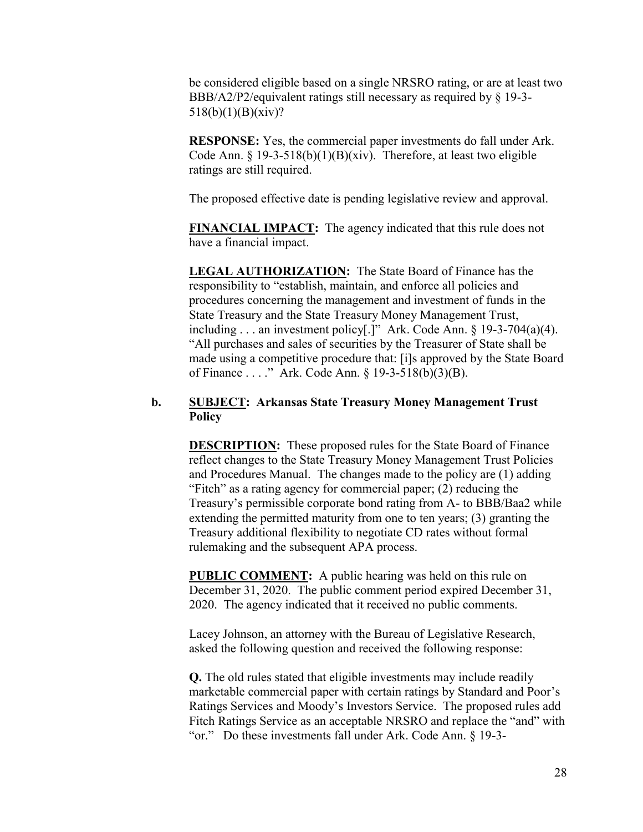be considered eligible based on a single NRSRO rating, or are at least two BBB/A2/P2/equivalent ratings still necessary as required by § 19-3- 518(b)(1)(B)(xiv)?

**RESPONSE:** Yes, the commercial paper investments do fall under Ark. Code Ann. § 19-3-518(b)(1)(B)(xiv). Therefore, at least two eligible ratings are still required.

The proposed effective date is pending legislative review and approval.

**FINANCIAL IMPACT:** The agency indicated that this rule does not have a financial impact.

**LEGAL AUTHORIZATION:** The State Board of Finance has the responsibility to "establish, maintain, and enforce all policies and procedures concerning the management and investment of funds in the State Treasury and the State Treasury Money Management Trust, including . . . an investment policy[.]" Ark. Code Ann.  $\S$  19-3-704(a)(4). "All purchases and sales of securities by the Treasurer of State shall be made using a competitive procedure that: [i]s approved by the State Board of Finance . . . ." Ark. Code Ann. § 19-3-518(b)(3)(B).

# **b. SUBJECT: Arkansas State Treasury Money Management Trust Policy**

**DESCRIPTION:** These proposed rules for the State Board of Finance reflect changes to the State Treasury Money Management Trust Policies and Procedures Manual. The changes made to the policy are (1) adding "Fitch" as a rating agency for commercial paper; (2) reducing the Treasury's permissible corporate bond rating from A- to BBB/Baa2 while extending the permitted maturity from one to ten years; (3) granting the Treasury additional flexibility to negotiate CD rates without formal rulemaking and the subsequent APA process.

**PUBLIC COMMENT:** A public hearing was held on this rule on December 31, 2020. The public comment period expired December 31, 2020. The agency indicated that it received no public comments.

Lacey Johnson, an attorney with the Bureau of Legislative Research, asked the following question and received the following response:

**Q.** The old rules stated that eligible investments may include readily marketable commercial paper with certain ratings by Standard and Poor's Ratings Services and Moody's Investors Service. The proposed rules add Fitch Ratings Service as an acceptable NRSRO and replace the "and" with "or." Do these investments fall under Ark. Code Ann. § 19-3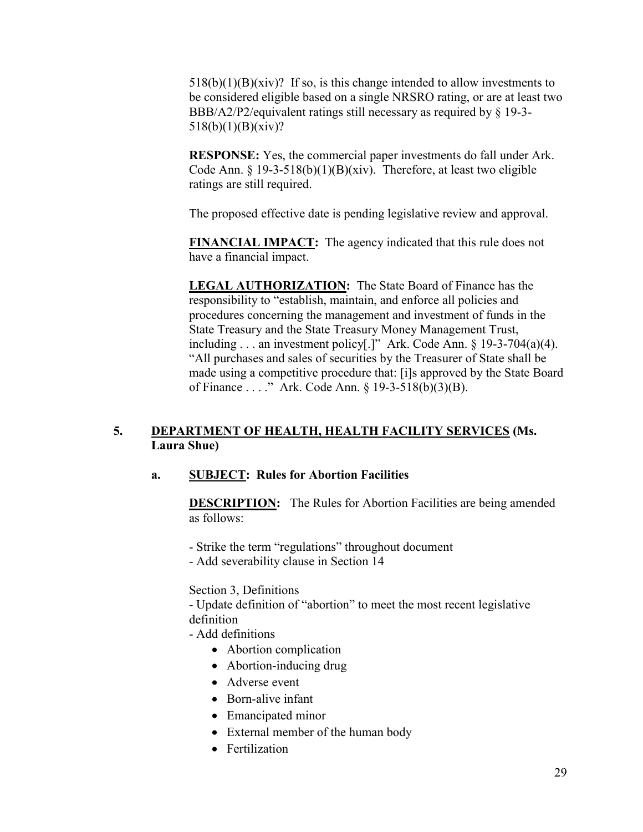$518(b)(1)(B)(xiv)$ ? If so, is this change intended to allow investments to be considered eligible based on a single NRSRO rating, or are at least two BBB/A2/P2/equivalent ratings still necessary as required by § 19-3- 518(b)(1)(B)(xiv)?

**RESPONSE:** Yes, the commercial paper investments do fall under Ark. Code Ann.  $\S 19-3-518(b)(1)(B)(xiv)$ . Therefore, at least two eligible ratings are still required.

The proposed effective date is pending legislative review and approval.

**FINANCIAL IMPACT:** The agency indicated that this rule does not have a financial impact.

**LEGAL AUTHORIZATION:** The State Board of Finance has the responsibility to "establish, maintain, and enforce all policies and procedures concerning the management and investment of funds in the State Treasury and the State Treasury Money Management Trust, including . . . an investment policy[.]" Ark. Code Ann. § 19-3-704(a)(4). "All purchases and sales of securities by the Treasurer of State shall be made using a competitive procedure that: [i]s approved by the State Board of Finance . . . ." Ark. Code Ann. § 19-3-518(b)(3)(B).

# **5. DEPARTMENT OF HEALTH, HEALTH FACILITY SERVICES (Ms. Laura Shue)**

# **a. SUBJECT: Rules for Abortion Facilities**

**DESCRIPTION:** The Rules for Abortion Facilities are being amended as follows:

- Strike the term "regulations" throughout document
- Add severability clause in Section 14

Section 3, Definitions

- Update definition of "abortion" to meet the most recent legislative definition

- Add definitions
	- Abortion complication
	- Abortion-inducing drug
	- Adverse event
	- Born-alive infant
	- Emancipated minor
	- External member of the human body
	- **•** Fertilization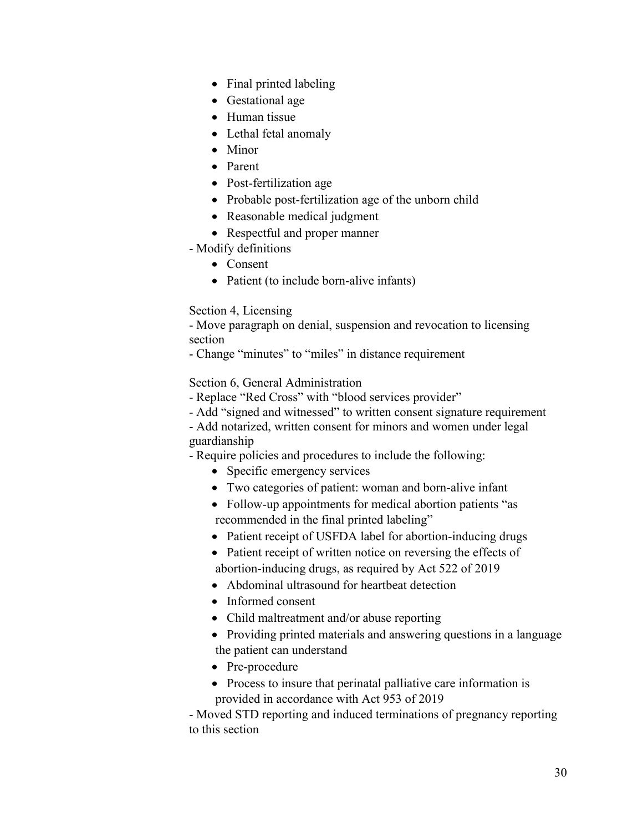- Final printed labeling
- Gestational age
- Human tissue
- Lethal fetal anomaly
- Minor
- Parent
- Post-fertilization age
- Probable post-fertilization age of the unborn child
- Reasonable medical judgment
- Respectful and proper manner
- Modify definitions
	- Consent
	- Patient (to include born-alive infants)

# Section 4, Licensing

- Move paragraph on denial, suspension and revocation to licensing section

- Change "minutes" to "miles" in distance requirement

Section 6, General Administration

- Replace "Red Cross" with "blood services provider"
- Add "signed and witnessed" to written consent signature requirement
- Add notarized, written consent for minors and women under legal guardianship

- Require policies and procedures to include the following:

- Specific emergency services
- Two categories of patient: woman and born-alive infant
- Follow-up appointments for medical abortion patients "as recommended in the final printed labeling"
- Patient receipt of USFDA label for abortion-inducing drugs
- Patient receipt of written notice on reversing the effects of abortion-inducing drugs, as required by Act 522 of 2019
- Abdominal ultrasound for heartbeat detection
- Informed consent
- Child maltreatment and/or abuse reporting
- Providing printed materials and answering questions in a language the patient can understand
- Pre-procedure
- Process to insure that perinatal palliative care information is provided in accordance with Act 953 of 2019

- Moved STD reporting and induced terminations of pregnancy reporting to this section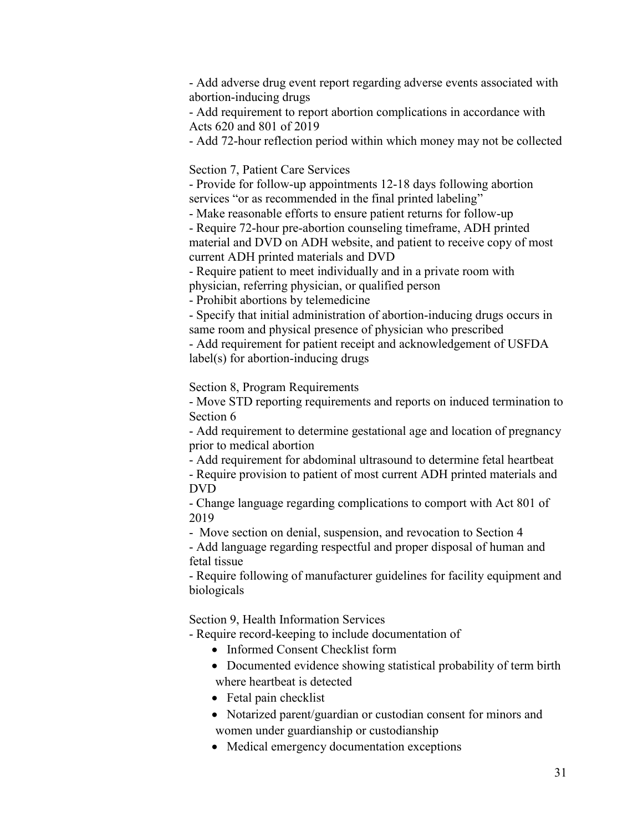- Add adverse drug event report regarding adverse events associated with abortion-inducing drugs

- Add requirement to report abortion complications in accordance with Acts 620 and 801 of 2019

- Add 72-hour reflection period within which money may not be collected

Section 7, Patient Care Services

- Provide for follow-up appointments 12-18 days following abortion services "or as recommended in the final printed labeling"

- Make reasonable efforts to ensure patient returns for follow-up

- Require 72-hour pre-abortion counseling timeframe, ADH printed material and DVD on ADH website, and patient to receive copy of most current ADH printed materials and DVD

- Require patient to meet individually and in a private room with physician, referring physician, or qualified person

- Prohibit abortions by telemedicine

- Specify that initial administration of abortion-inducing drugs occurs in same room and physical presence of physician who prescribed

- Add requirement for patient receipt and acknowledgement of USFDA label(s) for abortion-inducing drugs

Section 8, Program Requirements

- Move STD reporting requirements and reports on induced termination to Section 6

- Add requirement to determine gestational age and location of pregnancy prior to medical abortion

- Add requirement for abdominal ultrasound to determine fetal heartbeat

- Require provision to patient of most current ADH printed materials and DVD

- Change language regarding complications to comport with Act 801 of 2019

- Move section on denial, suspension, and revocation to Section 4

- Add language regarding respectful and proper disposal of human and fetal tissue

- Require following of manufacturer guidelines for facility equipment and biologicals

Section 9, Health Information Services

- Require record-keeping to include documentation of

- Informed Consent Checklist form
- Documented evidence showing statistical probability of term birth where heartbeat is detected
- Fetal pain checklist
- Notarized parent/guardian or custodian consent for minors and women under guardianship or custodianship
- Medical emergency documentation exceptions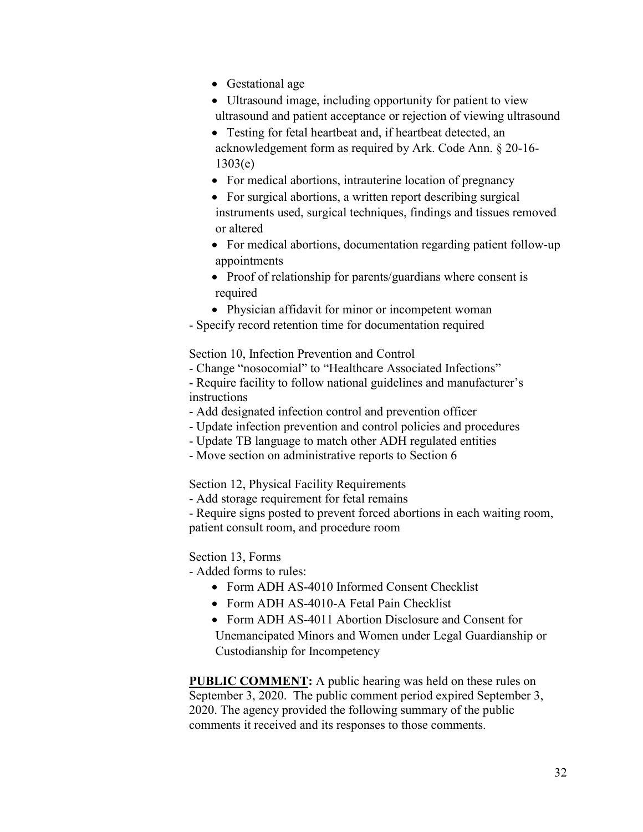- Gestational age
- Ultrasound image, including opportunity for patient to view ultrasound and patient acceptance or rejection of viewing ultrasound
- Testing for fetal heartbeat and, if heartbeat detected, an acknowledgement form as required by Ark. Code Ann. § 20-16- 1303(e)
- For medical abortions, intrauterine location of pregnancy
- For surgical abortions, a written report describing surgical instruments used, surgical techniques, findings and tissues removed or altered
- For medical abortions, documentation regarding patient follow-up appointments
- Proof of relationship for parents/guardians where consent is required
- Physician affidavit for minor or incompetent woman
- Specify record retention time for documentation required

Section 10, Infection Prevention and Control

- Change "nosocomial" to "Healthcare Associated Infections"

- Require facility to follow national guidelines and manufacturer's instructions

- Add designated infection control and prevention officer
- Update infection prevention and control policies and procedures
- Update TB language to match other ADH regulated entities
- Move section on administrative reports to Section 6

Section 12, Physical Facility Requirements

- Add storage requirement for fetal remains

- Require signs posted to prevent forced abortions in each waiting room, patient consult room, and procedure room

# Section 13, Forms

- Added forms to rules:

- Form ADH AS-4010 Informed Consent Checklist
- Form ADH AS-4010-A Fetal Pain Checklist
- Form ADH AS-4011 Abortion Disclosure and Consent for

Unemancipated Minors and Women under Legal Guardianship or Custodianship for Incompetency

**PUBLIC COMMENT:** A public hearing was held on these rules on September 3, 2020. The public comment period expired September 3, 2020. The agency provided the following summary of the public comments it received and its responses to those comments.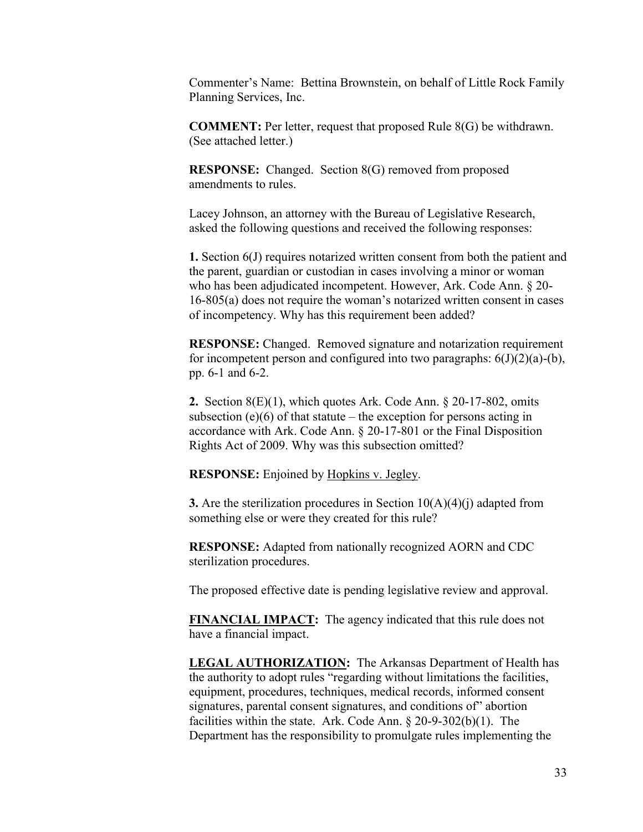Commenter's Name: Bettina Brownstein, on behalf of Little Rock Family Planning Services, Inc.

**COMMENT:** Per letter, request that proposed Rule 8(G) be withdrawn. (See attached letter.)

**RESPONSE:** Changed. Section 8(G) removed from proposed amendments to rules.

Lacey Johnson, an attorney with the Bureau of Legislative Research, asked the following questions and received the following responses:

**1.** Section 6(J) requires notarized written consent from both the patient and the parent, guardian or custodian in cases involving a minor or woman who has been adjudicated incompetent. However, Ark. Code Ann. § 20- 16-805(a) does not require the woman's notarized written consent in cases of incompetency. Why has this requirement been added?

**RESPONSE:** Changed. Removed signature and notarization requirement for incompetent person and configured into two paragraphs:  $6(J)(2)(a)-(b)$ , pp. 6-1 and 6-2.

**2.** Section 8(E)(1), which quotes Ark. Code Ann. § 20-17-802, omits subsection (e)(6) of that statute – the exception for persons acting in accordance with Ark. Code Ann. § 20-17-801 or the Final Disposition Rights Act of 2009. Why was this subsection omitted?

**RESPONSE:** Enjoined by Hopkins v. Jegley.

**3.** Are the sterilization procedures in Section 10(A)(4)(j) adapted from something else or were they created for this rule?

**RESPONSE:** Adapted from nationally recognized AORN and CDC sterilization procedures.

The proposed effective date is pending legislative review and approval.

**FINANCIAL IMPACT:** The agency indicated that this rule does not have a financial impact.

**LEGAL AUTHORIZATION:** The Arkansas Department of Health has the authority to adopt rules "regarding without limitations the facilities, equipment, procedures, techniques, medical records, informed consent signatures, parental consent signatures, and conditions of" abortion facilities within the state. Ark. Code Ann. § 20-9-302(b)(1). The Department has the responsibility to promulgate rules implementing the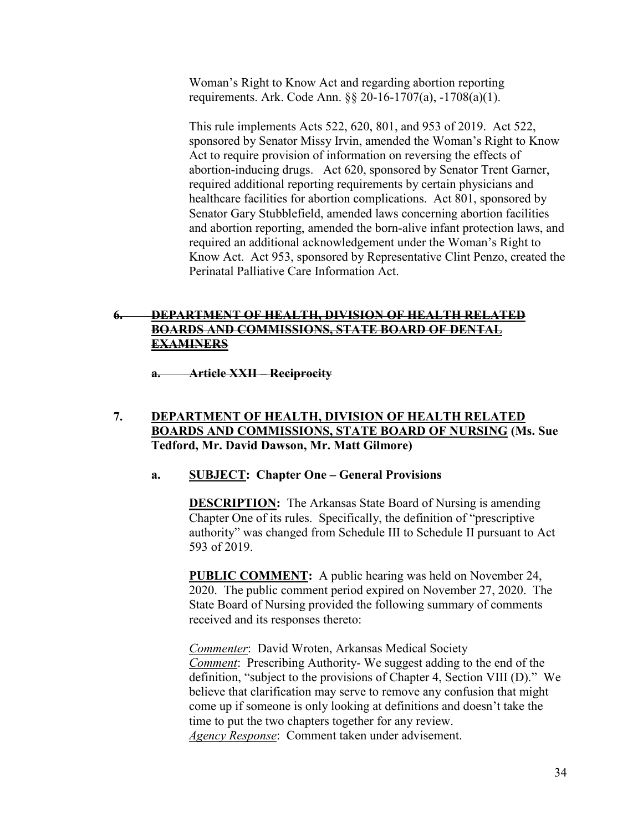Woman's Right to Know Act and regarding abortion reporting requirements. Ark. Code Ann. §§ 20-16-1707(a), -1708(a)(1).

This rule implements Acts 522, 620, 801, and 953 of 2019. Act 522, sponsored by Senator Missy Irvin, amended the Woman's Right to Know Act to require provision of information on reversing the effects of abortion-inducing drugs. Act 620, sponsored by Senator Trent Garner, required additional reporting requirements by certain physicians and healthcare facilities for abortion complications. Act 801, sponsored by Senator Gary Stubblefield, amended laws concerning abortion facilities and abortion reporting, amended the born-alive infant protection laws, and required an additional acknowledgement under the Woman's Right to Know Act. Act 953, sponsored by Representative Clint Penzo, created the Perinatal Palliative Care Information Act.

# **6. DEPARTMENT OF HEALTH, DIVISION OF HEALTH RELATED BOARDS AND COMMISSIONS, STATE BOARD OF DENTAL EXAMINERS**

**a. Article XXII – Reciprocity**

**7. DEPARTMENT OF HEALTH, DIVISION OF HEALTH RELATED BOARDS AND COMMISSIONS, STATE BOARD OF NURSING (Ms. Sue Tedford, Mr. David Dawson, Mr. Matt Gilmore)**

### **a. SUBJECT: Chapter One – General Provisions**

**DESCRIPTION:** The Arkansas State Board of Nursing is amending Chapter One of its rules. Specifically, the definition of "prescriptive authority" was changed from Schedule III to Schedule II pursuant to Act 593 of 2019.

**PUBLIC COMMENT:** A public hearing was held on November 24, 2020. The public comment period expired on November 27, 2020. The State Board of Nursing provided the following summary of comments received and its responses thereto:

*Commenter*: David Wroten, Arkansas Medical Society *Comment*: Prescribing Authority- We suggest adding to the end of the definition, "subject to the provisions of Chapter 4, Section VIII (D)." We believe that clarification may serve to remove any confusion that might come up if someone is only looking at definitions and doesn't take the time to put the two chapters together for any review. *Agency Response*: Comment taken under advisement.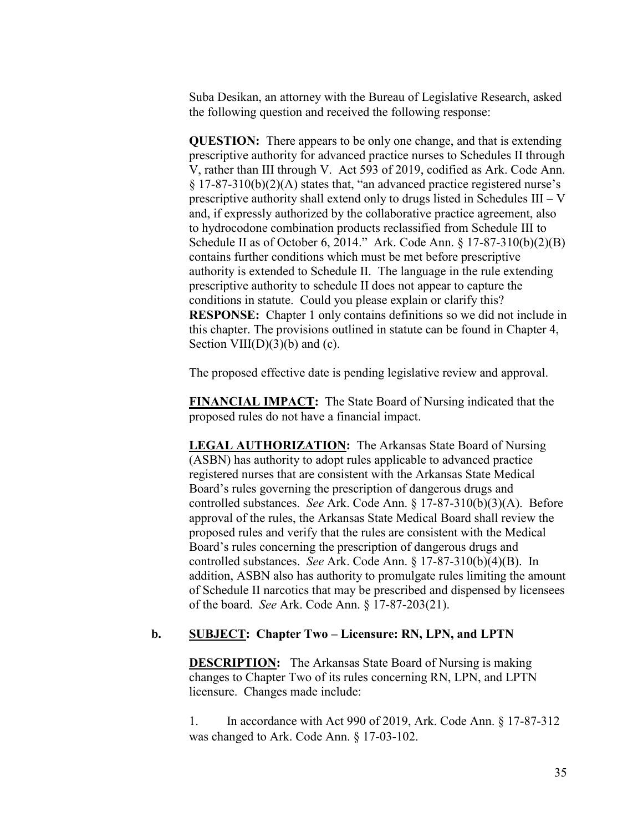Suba Desikan, an attorney with the Bureau of Legislative Research, asked the following question and received the following response:

**QUESTION:** There appears to be only one change, and that is extending prescriptive authority for advanced practice nurses to Schedules II through V, rather than III through V. Act 593 of 2019, codified as Ark. Code Ann.  $\S 17-87-310(b)(2)(A)$  states that, "an advanced practice registered nurse's prescriptive authority shall extend only to drugs listed in Schedules III – V and, if expressly authorized by the collaborative practice agreement, also to hydrocodone combination products reclassified from Schedule III to Schedule II as of October 6, 2014." Ark. Code Ann. § 17-87-310(b)(2)(B) contains further conditions which must be met before prescriptive authority is extended to Schedule II. The language in the rule extending prescriptive authority to schedule II does not appear to capture the conditions in statute. Could you please explain or clarify this? **RESPONSE:** Chapter 1 only contains definitions so we did not include in this chapter. The provisions outlined in statute can be found in Chapter 4, Section VIII(D)(3)(b) and (c).

The proposed effective date is pending legislative review and approval.

**FINANCIAL IMPACT:** The State Board of Nursing indicated that the proposed rules do not have a financial impact.

**LEGAL AUTHORIZATION:** The Arkansas State Board of Nursing (ASBN) has authority to adopt rules applicable to advanced practice registered nurses that are consistent with the Arkansas State Medical Board's rules governing the prescription of dangerous drugs and controlled substances. *See* Ark. Code Ann. § 17-87-310(b)(3)(A). Before approval of the rules, the Arkansas State Medical Board shall review the proposed rules and verify that the rules are consistent with the Medical Board's rules concerning the prescription of dangerous drugs and controlled substances. *See* Ark. Code Ann. § 17-87-310(b)(4)(B). In addition, ASBN also has authority to promulgate rules limiting the amount of Schedule II narcotics that may be prescribed and dispensed by licensees of the board. *See* Ark. Code Ann. § 17-87-203(21).

### **b. SUBJECT: Chapter Two – Licensure: RN, LPN, and LPTN**

**DESCRIPTION:** The Arkansas State Board of Nursing is making changes to Chapter Two of its rules concerning RN, LPN, and LPTN licensure. Changes made include:

1. In accordance with Act 990 of 2019, Ark. Code Ann. § 17-87-312 was changed to Ark. Code Ann. § 17-03-102.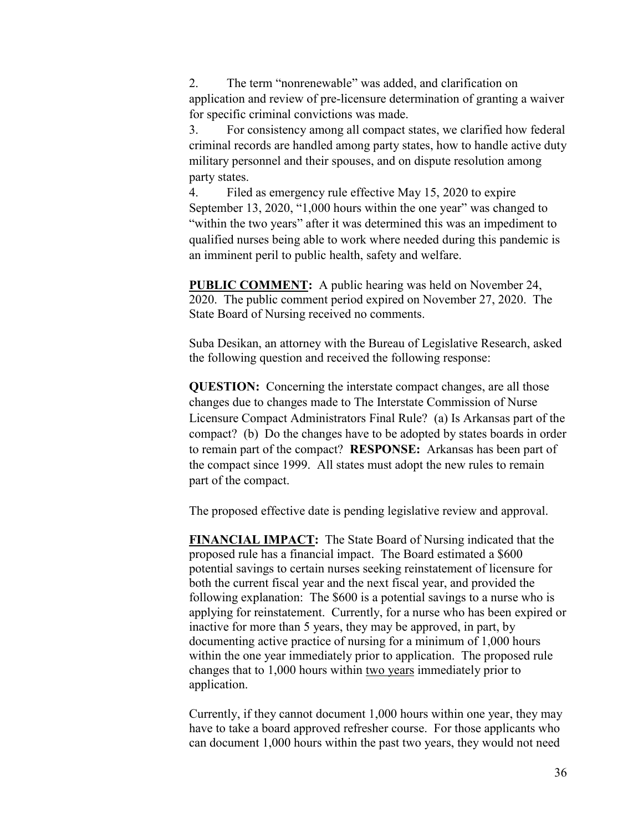2. The term "nonrenewable" was added, and clarification on application and review of pre-licensure determination of granting a waiver for specific criminal convictions was made.

3. For consistency among all compact states, we clarified how federal criminal records are handled among party states, how to handle active duty military personnel and their spouses, and on dispute resolution among party states.

4. Filed as emergency rule effective May 15, 2020 to expire September 13, 2020, "1,000 hours within the one year" was changed to "within the two years" after it was determined this was an impediment to qualified nurses being able to work where needed during this pandemic is an imminent peril to public health, safety and welfare.

**PUBLIC COMMENT:** A public hearing was held on November 24, 2020. The public comment period expired on November 27, 2020. The State Board of Nursing received no comments.

Suba Desikan, an attorney with the Bureau of Legislative Research, asked the following question and received the following response:

**QUESTION:** Concerning the interstate compact changes, are all those changes due to changes made to The Interstate Commission of Nurse Licensure Compact Administrators Final Rule? (a) Is Arkansas part of the compact? (b) Do the changes have to be adopted by states boards in order to remain part of the compact? **RESPONSE:** Arkansas has been part of the compact since 1999. All states must adopt the new rules to remain part of the compact.

The proposed effective date is pending legislative review and approval.

**FINANCIAL IMPACT:** The State Board of Nursing indicated that the proposed rule has a financial impact. The Board estimated a \$600 potential savings to certain nurses seeking reinstatement of licensure for both the current fiscal year and the next fiscal year, and provided the following explanation: The \$600 is a potential savings to a nurse who is applying for reinstatement. Currently, for a nurse who has been expired or inactive for more than 5 years, they may be approved, in part, by documenting active practice of nursing for a minimum of 1,000 hours within the one year immediately prior to application. The proposed rule changes that to 1,000 hours within two years immediately prior to application.

Currently, if they cannot document 1,000 hours within one year, they may have to take a board approved refresher course. For those applicants who can document 1,000 hours within the past two years, they would not need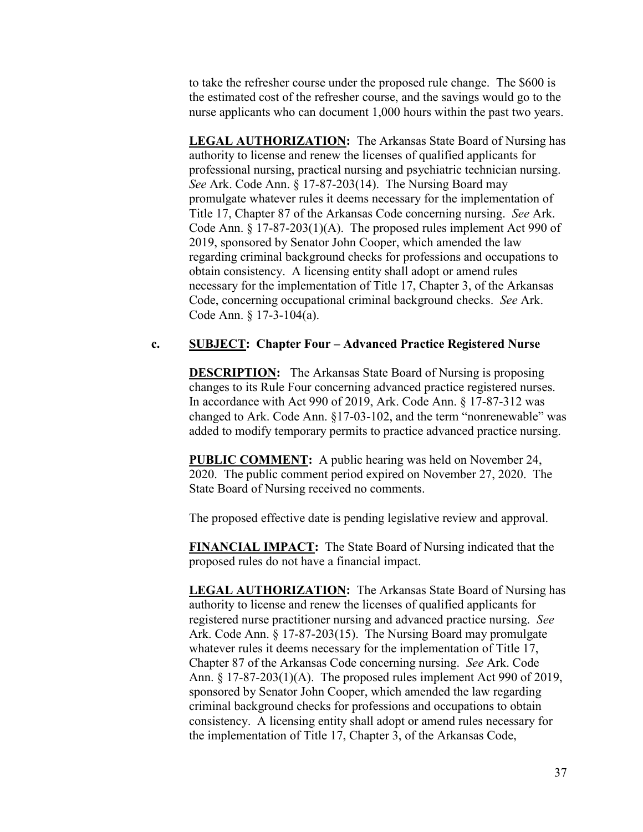to take the refresher course under the proposed rule change. The \$600 is the estimated cost of the refresher course, and the savings would go to the nurse applicants who can document 1,000 hours within the past two years.

**LEGAL AUTHORIZATION:** The Arkansas State Board of Nursing has authority to license and renew the licenses of qualified applicants for professional nursing, practical nursing and psychiatric technician nursing. *See* Ark. Code Ann. § 17-87-203(14). The Nursing Board may promulgate whatever rules it deems necessary for the implementation of Title 17, Chapter 87 of the Arkansas Code concerning nursing. *See* Ark. Code Ann. § 17-87-203(1)(A). The proposed rules implement Act 990 of 2019, sponsored by Senator John Cooper, which amended the law regarding criminal background checks for professions and occupations to obtain consistency. A licensing entity shall adopt or amend rules necessary for the implementation of Title 17, Chapter 3, of the Arkansas Code, concerning occupational criminal background checks. *See* Ark. Code Ann. § 17-3-104(a).

### **c. SUBJECT: Chapter Four – Advanced Practice Registered Nurse**

**DESCRIPTION:** The Arkansas State Board of Nursing is proposing changes to its Rule Four concerning advanced practice registered nurses. In accordance with Act 990 of 2019, Ark. Code Ann. § 17-87-312 was changed to Ark. Code Ann. §17-03-102, and the term "nonrenewable" was added to modify temporary permits to practice advanced practice nursing.

**PUBLIC COMMENT:** A public hearing was held on November 24, 2020. The public comment period expired on November 27, 2020. The State Board of Nursing received no comments.

The proposed effective date is pending legislative review and approval.

**FINANCIAL IMPACT:** The State Board of Nursing indicated that the proposed rules do not have a financial impact.

**LEGAL AUTHORIZATION:** The Arkansas State Board of Nursing has authority to license and renew the licenses of qualified applicants for registered nurse practitioner nursing and advanced practice nursing. *See*  Ark. Code Ann. § 17-87-203(15). The Nursing Board may promulgate whatever rules it deems necessary for the implementation of Title 17, Chapter 87 of the Arkansas Code concerning nursing. *See* Ark. Code Ann. § 17-87-203(1)(A). The proposed rules implement Act 990 of 2019, sponsored by Senator John Cooper, which amended the law regarding criminal background checks for professions and occupations to obtain consistency. A licensing entity shall adopt or amend rules necessary for the implementation of Title 17, Chapter 3, of the Arkansas Code,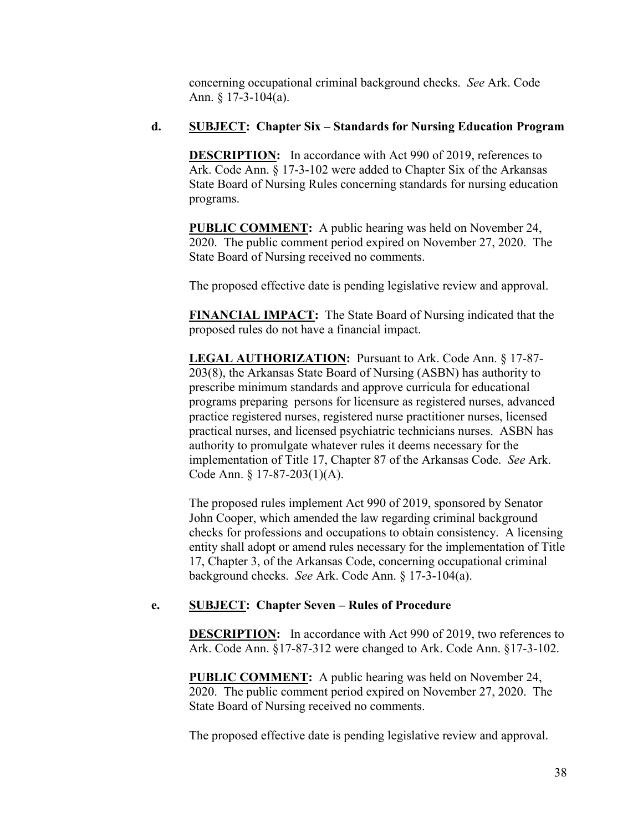concerning occupational criminal background checks. *See* Ark. Code Ann. § 17-3-104(a).

# **d. SUBJECT: Chapter Six – Standards for Nursing Education Program**

**DESCRIPTION:** In accordance with Act 990 of 2019, references to Ark. Code Ann. § 17-3-102 were added to Chapter Six of the Arkansas State Board of Nursing Rules concerning standards for nursing education programs.

**PUBLIC COMMENT:** A public hearing was held on November 24, 2020. The public comment period expired on November 27, 2020. The State Board of Nursing received no comments.

The proposed effective date is pending legislative review and approval.

**FINANCIAL IMPACT:** The State Board of Nursing indicated that the proposed rules do not have a financial impact.

**LEGAL AUTHORIZATION:** Pursuant to Ark. Code Ann. § 17-87- 203(8), the Arkansas State Board of Nursing (ASBN) has authority to prescribe minimum standards and approve curricula for educational programs preparing persons for licensure as registered nurses, advanced practice registered nurses, registered nurse practitioner nurses, licensed practical nurses, and licensed psychiatric technicians nurses. ASBN has authority to promulgate whatever rules it deems necessary for the implementation of Title 17, Chapter 87 of the Arkansas Code. *See* Ark. Code Ann. § 17-87-203(1)(A).

The proposed rules implement Act 990 of 2019, sponsored by Senator John Cooper, which amended the law regarding criminal background checks for professions and occupations to obtain consistency. A licensing entity shall adopt or amend rules necessary for the implementation of Title 17, Chapter 3, of the Arkansas Code, concerning occupational criminal background checks. *See* Ark. Code Ann. § 17-3-104(a).

# **e. SUBJECT:** Chapter Seven – Rules of Procedure

**DESCRIPTION:** In accordance with Act 990 of 2019, two references to Ark. Code Ann. §17-87-312 were changed to Ark. Code Ann. §17-3-102.

**PUBLIC COMMENT:** A public hearing was held on November 24, 2020. The public comment period expired on November 27, 2020. The State Board of Nursing received no comments.

The proposed effective date is pending legislative review and approval.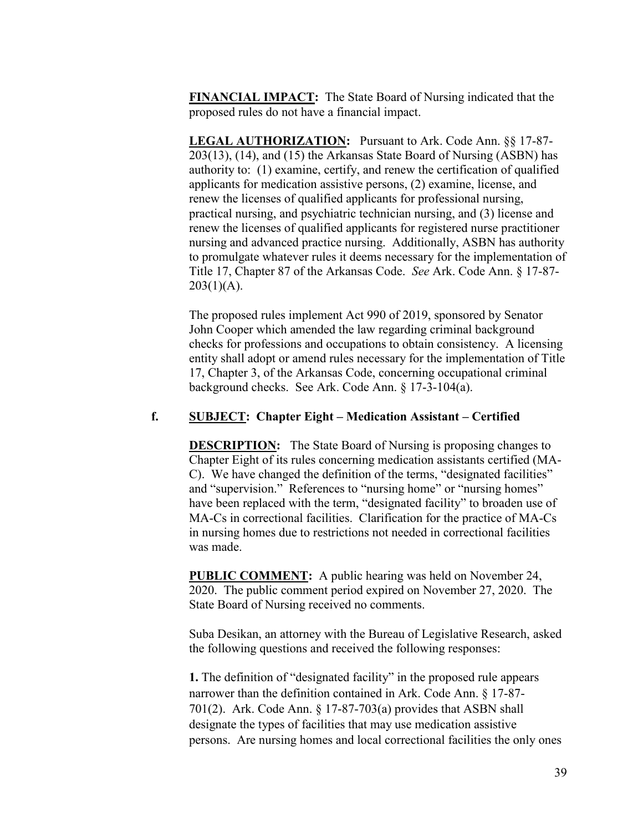**FINANCIAL IMPACT:** The State Board of Nursing indicated that the proposed rules do not have a financial impact.

**LEGAL AUTHORIZATION:** Pursuant to Ark. Code Ann. §§ 17-87- 203(13), (14), and (15) the Arkansas State Board of Nursing (ASBN) has authority to: (1) examine, certify, and renew the certification of qualified applicants for medication assistive persons, (2) examine, license, and renew the licenses of qualified applicants for professional nursing, practical nursing, and psychiatric technician nursing, and (3) license and renew the licenses of qualified applicants for registered nurse practitioner nursing and advanced practice nursing. Additionally, ASBN has authority to promulgate whatever rules it deems necessary for the implementation of Title 17, Chapter 87 of the Arkansas Code. *See* Ark. Code Ann. § 17-87-  $203(1)(A)$ .

The proposed rules implement Act 990 of 2019, sponsored by Senator John Cooper which amended the law regarding criminal background checks for professions and occupations to obtain consistency. A licensing entity shall adopt or amend rules necessary for the implementation of Title 17, Chapter 3, of the Arkansas Code, concerning occupational criminal background checks. See Ark. Code Ann. § 17-3-104(a).

## **f. SUBJECT: Chapter Eight – Medication Assistant – Certified**

**DESCRIPTION:** The State Board of Nursing is proposing changes to Chapter Eight of its rules concerning medication assistants certified (MA-C). We have changed the definition of the terms, "designated facilities" and "supervision." References to "nursing home" or "nursing homes" have been replaced with the term, "designated facility" to broaden use of MA-Cs in correctional facilities. Clarification for the practice of MA-Cs in nursing homes due to restrictions not needed in correctional facilities was made.

**PUBLIC COMMENT:** A public hearing was held on November 24, 2020. The public comment period expired on November 27, 2020. The State Board of Nursing received no comments.

Suba Desikan, an attorney with the Bureau of Legislative Research, asked the following questions and received the following responses:

**1.** The definition of "designated facility" in the proposed rule appears narrower than the definition contained in Ark. Code Ann. § 17-87- 701(2). Ark. Code Ann. § 17-87-703(a) provides that ASBN shall designate the types of facilities that may use medication assistive persons. Are nursing homes and local correctional facilities the only ones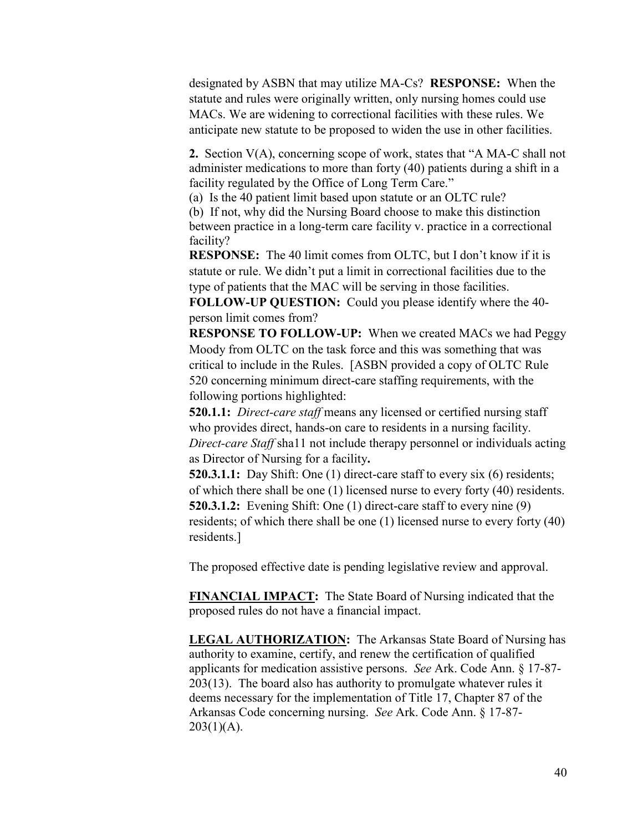designated by ASBN that may utilize MA-Cs? **RESPONSE:** When the statute and rules were originally written, only nursing homes could use MACs. We are widening to correctional facilities with these rules. We anticipate new statute to be proposed to widen the use in other facilities.

**2.** Section V(A), concerning scope of work, states that "A MA-C shall not administer medications to more than forty (40) patients during a shift in a facility regulated by the Office of Long Term Care."

(a) Is the 40 patient limit based upon statute or an OLTC rule?

(b) If not, why did the Nursing Board choose to make this distinction between practice in a long-term care facility v. practice in a correctional facility?

**RESPONSE:** The 40 limit comes from OLTC, but I don't know if it is statute or rule. We didn't put a limit in correctional facilities due to the type of patients that the MAC will be serving in those facilities.

**FOLLOW-UP QUESTION:** Could you please identify where the 40 person limit comes from?

**RESPONSE TO FOLLOW-UP:** When we created MACs we had Peggy Moody from OLTC on the task force and this was something that was critical to include in the Rules. [ASBN provided a copy of OLTC Rule 520 concerning minimum direct-care staffing requirements, with the following portions highlighted:

**520.1.1:** *Direct-care staff* means any licensed or certified nursing staff who provides direct, hands-on care to residents in a nursing facility. *Direct-care Staff* sha11 not include therapy personnel or individuals acting as Director of Nursing for a facility**.** 

**520.3.1.1:** Day Shift: One (1) direct-care staff to every six (6) residents; of which there shall be one (1) licensed nurse to every forty (40) residents. **520.3.1.2:** Evening Shift: One (1) direct-care staff to every nine (9) residents; of which there shall be one (1) licensed nurse to every forty (40) residents.]

The proposed effective date is pending legislative review and approval.

**FINANCIAL IMPACT:** The State Board of Nursing indicated that the proposed rules do not have a financial impact.

**LEGAL AUTHORIZATION:** The Arkansas State Board of Nursing has authority to examine, certify, and renew the certification of qualified applicants for medication assistive persons. *See* Ark. Code Ann. § 17-87- 203(13). The board also has authority to promulgate whatever rules it deems necessary for the implementation of Title 17, Chapter 87 of the Arkansas Code concerning nursing. *See* Ark. Code Ann. § 17-87-  $203(1)(A)$ .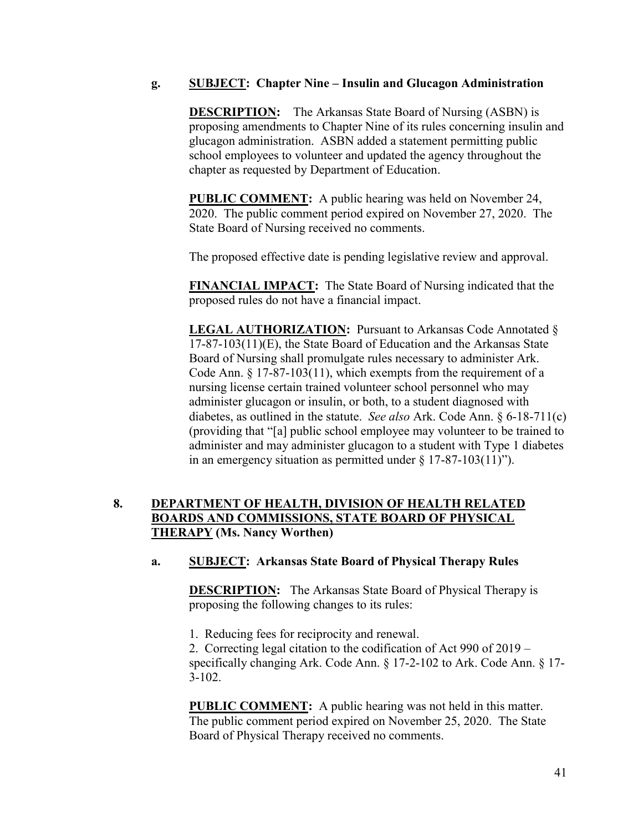### **g. SUBJECT: Chapter Nine – Insulin and Glucagon Administration**

**DESCRIPTION:** The Arkansas State Board of Nursing (ASBN) is proposing amendments to Chapter Nine of its rules concerning insulin and glucagon administration. ASBN added a statement permitting public school employees to volunteer and updated the agency throughout the chapter as requested by Department of Education.

**PUBLIC COMMENT:** A public hearing was held on November 24, 2020. The public comment period expired on November 27, 2020. The State Board of Nursing received no comments.

The proposed effective date is pending legislative review and approval.

**FINANCIAL IMPACT:** The State Board of Nursing indicated that the proposed rules do not have a financial impact.

**LEGAL AUTHORIZATION:** Pursuant to Arkansas Code Annotated § 17-87-103(11)(E), the State Board of Education and the Arkansas State Board of Nursing shall promulgate rules necessary to administer Ark. Code Ann. § 17-87-103(11), which exempts from the requirement of a nursing license certain trained volunteer school personnel who may administer glucagon or insulin, or both, to a student diagnosed with diabetes, as outlined in the statute. *See also* Ark. Code Ann. § 6-18-711(c) (providing that "[a] public school employee may volunteer to be trained to administer and may administer glucagon to a student with Type 1 diabetes in an emergency situation as permitted under  $\S 17-87-103(11)$ ").

# **8. DEPARTMENT OF HEALTH, DIVISION OF HEALTH RELATED BOARDS AND COMMISSIONS, STATE BOARD OF PHYSICAL THERAPY (Ms. Nancy Worthen)**

### **a. SUBJECT: Arkansas State Board of Physical Therapy Rules**

**DESCRIPTION:** The Arkansas State Board of Physical Therapy is proposing the following changes to its rules:

1. Reducing fees for reciprocity and renewal.

2. Correcting legal citation to the codification of Act 990 of 2019 – specifically changing Ark. Code Ann. § 17-2-102 to Ark. Code Ann. § 17- 3-102.

**PUBLIC COMMENT:** A public hearing was not held in this matter. The public comment period expired on November 25, 2020. The State Board of Physical Therapy received no comments.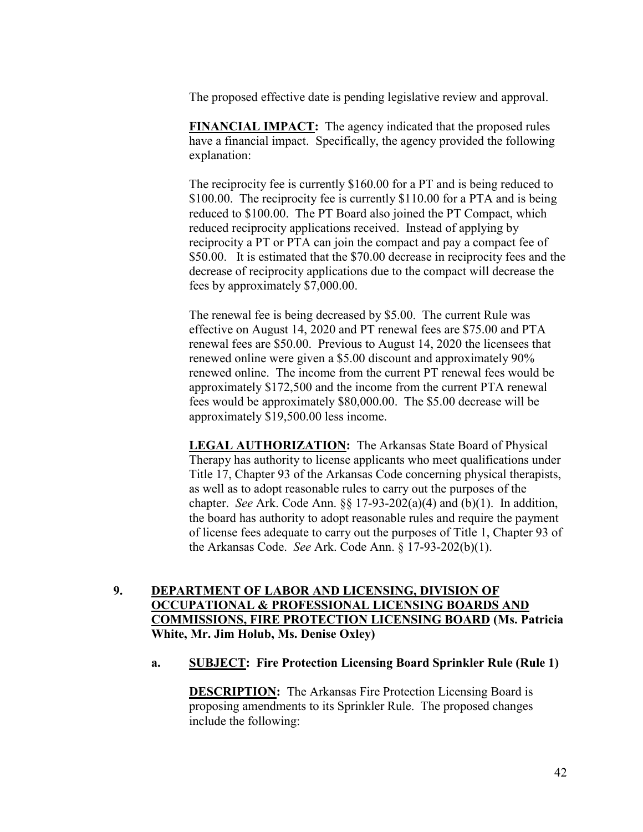The proposed effective date is pending legislative review and approval.

**FINANCIAL IMPACT:** The agency indicated that the proposed rules have a financial impact. Specifically, the agency provided the following explanation:

The reciprocity fee is currently \$160.00 for a PT and is being reduced to \$100.00. The reciprocity fee is currently \$110.00 for a PTA and is being reduced to \$100.00. The PT Board also joined the PT Compact, which reduced reciprocity applications received. Instead of applying by reciprocity a PT or PTA can join the compact and pay a compact fee of \$50.00. It is estimated that the \$70.00 decrease in reciprocity fees and the decrease of reciprocity applications due to the compact will decrease the fees by approximately \$7,000.00.

The renewal fee is being decreased by \$5.00. The current Rule was effective on August 14, 2020 and PT renewal fees are \$75.00 and PTA renewal fees are \$50.00. Previous to August 14, 2020 the licensees that renewed online were given a \$5.00 discount and approximately 90% renewed online. The income from the current PT renewal fees would be approximately \$172,500 and the income from the current PTA renewal fees would be approximately \$80,000.00. The \$5.00 decrease will be approximately \$19,500.00 less income.

**LEGAL AUTHORIZATION:** The Arkansas State Board of Physical Therapy has authority to license applicants who meet qualifications under Title 17, Chapter 93 of the Arkansas Code concerning physical therapists, as well as to adopt reasonable rules to carry out the purposes of the chapter. *See* Ark. Code Ann. §§ 17-93-202(a)(4) and (b)(1). In addition, the board has authority to adopt reasonable rules and require the payment of license fees adequate to carry out the purposes of Title 1, Chapter 93 of the Arkansas Code. *See* Ark. Code Ann. § 17-93-202(b)(1).

# **9. DEPARTMENT OF LABOR AND LICENSING, DIVISION OF OCCUPATIONAL & PROFESSIONAL LICENSING BOARDS AND COMMISSIONS, FIRE PROTECTION LICENSING BOARD (Ms. Patricia White, Mr. Jim Holub, Ms. Denise Oxley)**

**a. SUBJECT: Fire Protection Licensing Board Sprinkler Rule (Rule 1)**

**DESCRIPTION:** The Arkansas Fire Protection Licensing Board is proposing amendments to its Sprinkler Rule. The proposed changes include the following: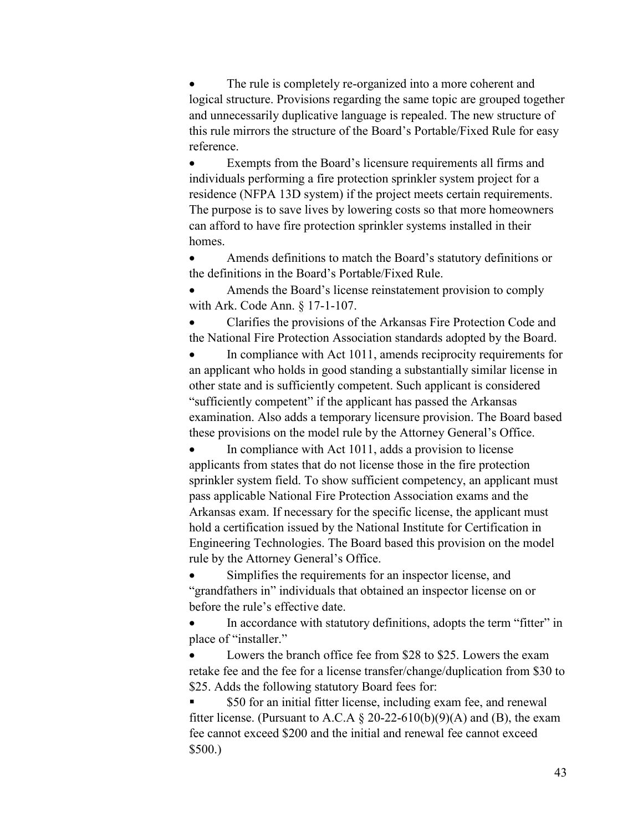The rule is completely re-organized into a more coherent and logical structure. Provisions regarding the same topic are grouped together and unnecessarily duplicative language is repealed. The new structure of this rule mirrors the structure of the Board's Portable/Fixed Rule for easy reference.

 Exempts from the Board's licensure requirements all firms and individuals performing a fire protection sprinkler system project for a residence (NFPA 13D system) if the project meets certain requirements. The purpose is to save lives by lowering costs so that more homeowners can afford to have fire protection sprinkler systems installed in their homes.

 Amends definitions to match the Board's statutory definitions or the definitions in the Board's Portable/Fixed Rule.

 Amends the Board's license reinstatement provision to comply with Ark. Code Ann. § 17-1-107.

 Clarifies the provisions of the Arkansas Fire Protection Code and the National Fire Protection Association standards adopted by the Board.

 In compliance with Act 1011, amends reciprocity requirements for an applicant who holds in good standing a substantially similar license in other state and is sufficiently competent. Such applicant is considered "sufficiently competent" if the applicant has passed the Arkansas examination. Also adds a temporary licensure provision. The Board based these provisions on the model rule by the Attorney General's Office.

 In compliance with Act 1011, adds a provision to license applicants from states that do not license those in the fire protection sprinkler system field. To show sufficient competency, an applicant must pass applicable National Fire Protection Association exams and the Arkansas exam. If necessary for the specific license, the applicant must hold a certification issued by the National Institute for Certification in Engineering Technologies. The Board based this provision on the model rule by the Attorney General's Office.

 Simplifies the requirements for an inspector license, and "grandfathers in" individuals that obtained an inspector license on or before the rule's effective date.

 In accordance with statutory definitions, adopts the term "fitter" in place of "installer."

 Lowers the branch office fee from \$28 to \$25. Lowers the exam retake fee and the fee for a license transfer/change/duplication from \$30 to \$25. Adds the following statutory Board fees for:

\$50 for an initial fitter license, including exam fee, and renewal fitter license. (Pursuant to A.C.A  $\&$  20-22-610(b)(9)(A) and (B), the exam fee cannot exceed \$200 and the initial and renewal fee cannot exceed \$500.)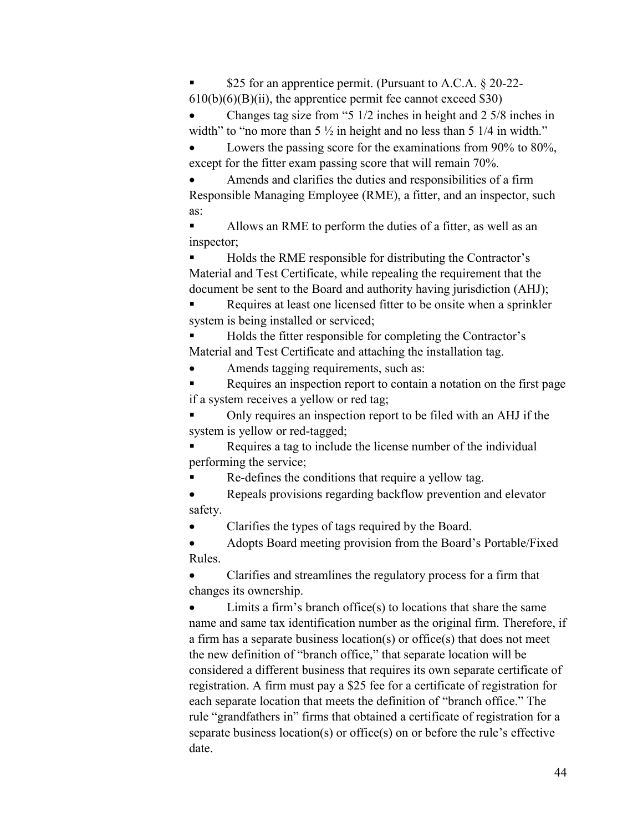\$25 for an apprentice permit. (Pursuant to A.C.A. § 20-22-  $610(b)(6)(B)(ii)$ , the apprentice permit fee cannot exceed \$30)

 Changes tag size from "5 1/2 inches in height and 2 5/8 inches in width" to "no more than  $5\frac{1}{2}$  in height and no less than  $5\frac{1}{4}$  in width."

Lowers the passing score for the examinations from 90% to 80%, except for the fitter exam passing score that will remain 70%.

 Amends and clarifies the duties and responsibilities of a firm Responsible Managing Employee (RME), a fitter, and an inspector, such as:

 Allows an RME to perform the duties of a fitter, as well as an inspector;

 Holds the RME responsible for distributing the Contractor's Material and Test Certificate, while repealing the requirement that the document be sent to the Board and authority having jurisdiction (AHJ);

 Requires at least one licensed fitter to be onsite when a sprinkler system is being installed or serviced;

 Holds the fitter responsible for completing the Contractor's Material and Test Certificate and attaching the installation tag.

Amends tagging requirements, such as:

Requires an inspection report to contain a notation on the first page if a system receives a yellow or red tag;

 Only requires an inspection report to be filed with an AHJ if the system is yellow or red-tagged;

 Requires a tag to include the license number of the individual performing the service;

Re-defines the conditions that require a yellow tag.

• Repeals provisions regarding backflow prevention and elevator safety.

Clarifies the types of tags required by the Board.

 Adopts Board meeting provision from the Board's Portable/Fixed Rules.

 Clarifies and streamlines the regulatory process for a firm that changes its ownership.

 Limits a firm's branch office(s) to locations that share the same name and same tax identification number as the original firm. Therefore, if a firm has a separate business location(s) or office(s) that does not meet the new definition of "branch office," that separate location will be considered a different business that requires its own separate certificate of registration. A firm must pay a \$25 fee for a certificate of registration for each separate location that meets the definition of "branch office." The rule "grandfathers in" firms that obtained a certificate of registration for a separate business location(s) or office(s) on or before the rule's effective date.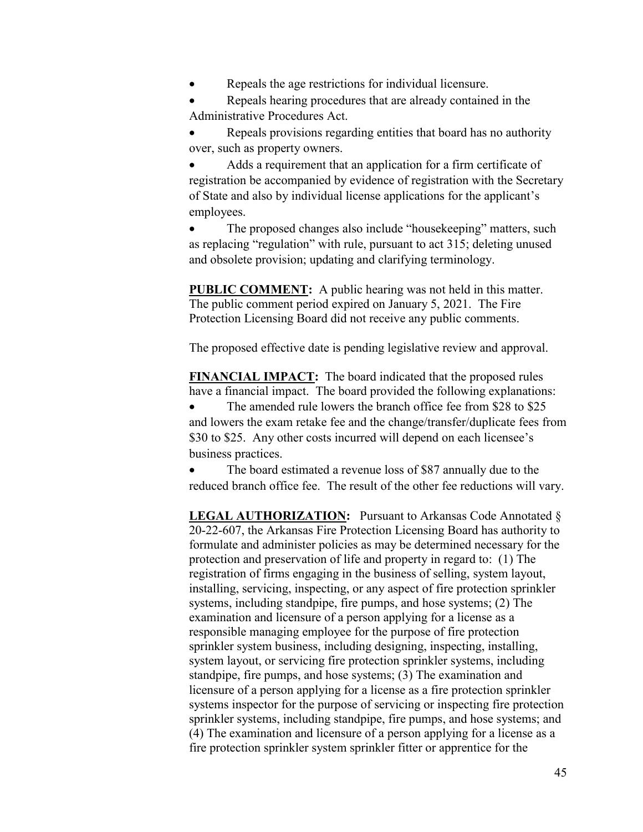Repeals the age restrictions for individual licensure.

 Repeals hearing procedures that are already contained in the Administrative Procedures Act.

 Repeals provisions regarding entities that board has no authority over, such as property owners.

 Adds a requirement that an application for a firm certificate of registration be accompanied by evidence of registration with the Secretary of State and also by individual license applications for the applicant's employees.

 The proposed changes also include "housekeeping" matters, such as replacing "regulation" with rule, pursuant to act 315; deleting unused and obsolete provision; updating and clarifying terminology.

**PUBLIC COMMENT:** A public hearing was not held in this matter. The public comment period expired on January 5, 2021. The Fire Protection Licensing Board did not receive any public comments.

The proposed effective date is pending legislative review and approval.

**FINANCIAL IMPACT:** The board indicated that the proposed rules have a financial impact. The board provided the following explanations:

 The amended rule lowers the branch office fee from \$28 to \$25 and lowers the exam retake fee and the change/transfer/duplicate fees from \$30 to \$25. Any other costs incurred will depend on each licensee's business practices.

 The board estimated a revenue loss of \$87 annually due to the reduced branch office fee. The result of the other fee reductions will vary.

LEGAL AUTHORIZATION: Pursuant to Arkansas Code Annotated § 20-22-607, the Arkansas Fire Protection Licensing Board has authority to formulate and administer policies as may be determined necessary for the protection and preservation of life and property in regard to: (1) The registration of firms engaging in the business of selling, system layout, installing, servicing, inspecting, or any aspect of fire protection sprinkler systems, including standpipe, fire pumps, and hose systems; (2) The examination and licensure of a person applying for a license as a responsible managing employee for the purpose of fire protection sprinkler system business, including designing, inspecting, installing, system layout, or servicing fire protection sprinkler systems, including standpipe, fire pumps, and hose systems; (3) The examination and licensure of a person applying for a license as a fire protection sprinkler systems inspector for the purpose of servicing or inspecting fire protection sprinkler systems, including standpipe, fire pumps, and hose systems; and (4) The examination and licensure of a person applying for a license as a fire protection sprinkler system sprinkler fitter or apprentice for the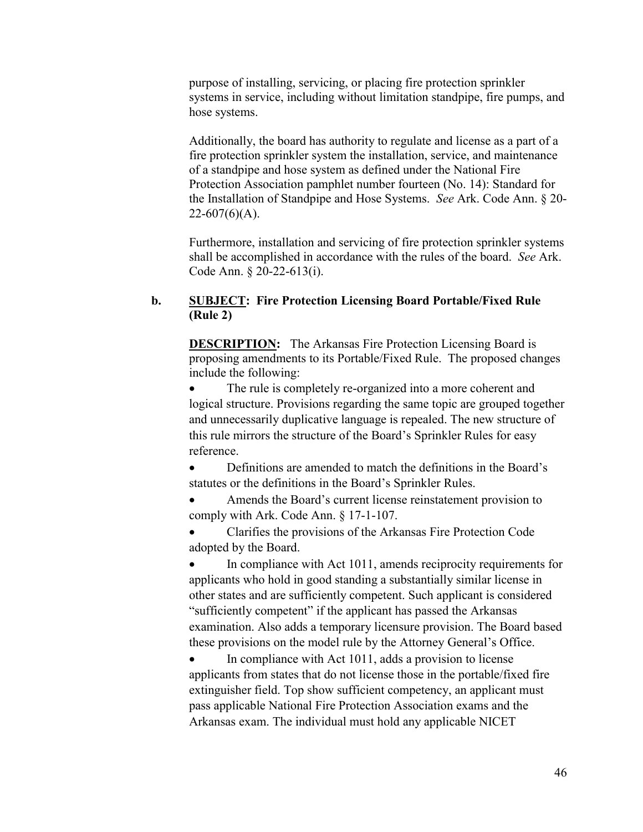purpose of installing, servicing, or placing fire protection sprinkler systems in service, including without limitation standpipe, fire pumps, and hose systems.

Additionally, the board has authority to regulate and license as a part of a fire protection sprinkler system the installation, service, and maintenance of a standpipe and hose system as defined under the National Fire Protection Association pamphlet number fourteen (No. 14): Standard for the Installation of Standpipe and Hose Systems. *See* Ark. Code Ann. § 20-  $22-607(6)(A)$ .

Furthermore, installation and servicing of fire protection sprinkler systems shall be accomplished in accordance with the rules of the board. *See* Ark. Code Ann. § 20-22-613(i).

### **b. SUBJECT: Fire Protection Licensing Board Portable/Fixed Rule (Rule 2)**

**DESCRIPTION:** The Arkansas Fire Protection Licensing Board is proposing amendments to its Portable/Fixed Rule. The proposed changes include the following:

 The rule is completely re-organized into a more coherent and logical structure. Provisions regarding the same topic are grouped together and unnecessarily duplicative language is repealed. The new structure of this rule mirrors the structure of the Board's Sprinkler Rules for easy reference.

 Definitions are amended to match the definitions in the Board's statutes or the definitions in the Board's Sprinkler Rules.

 Amends the Board's current license reinstatement provision to comply with Ark. Code Ann. § 17-1-107.

 Clarifies the provisions of the Arkansas Fire Protection Code adopted by the Board.

 In compliance with Act 1011, amends reciprocity requirements for applicants who hold in good standing a substantially similar license in other states and are sufficiently competent. Such applicant is considered "sufficiently competent" if the applicant has passed the Arkansas examination. Also adds a temporary licensure provision. The Board based these provisions on the model rule by the Attorney General's Office.

 In compliance with Act 1011, adds a provision to license applicants from states that do not license those in the portable/fixed fire extinguisher field. Top show sufficient competency, an applicant must pass applicable National Fire Protection Association exams and the Arkansas exam. The individual must hold any applicable NICET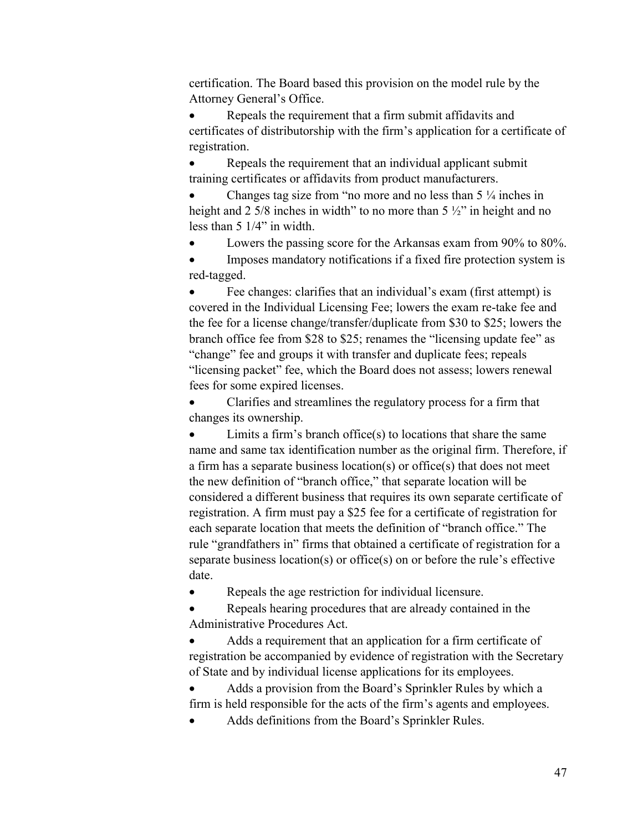certification. The Board based this provision on the model rule by the Attorney General's Office.

 Repeals the requirement that a firm submit affidavits and certificates of distributorship with the firm's application for a certificate of registration.

• Repeals the requirement that an individual applicant submit training certificates or affidavits from product manufacturers.

 Changes tag size from "no more and no less than 5 ¼ inches in height and 2 5/8 inches in width" to no more than 5  $\frac{1}{2}$ " in height and no less than 5 1/4" in width.

Lowers the passing score for the Arkansas exam from 90% to 80%.

 Imposes mandatory notifications if a fixed fire protection system is red-tagged.

 Fee changes: clarifies that an individual's exam (first attempt) is covered in the Individual Licensing Fee; lowers the exam re-take fee and the fee for a license change/transfer/duplicate from \$30 to \$25; lowers the branch office fee from \$28 to \$25; renames the "licensing update fee" as "change" fee and groups it with transfer and duplicate fees; repeals "licensing packet" fee, which the Board does not assess; lowers renewal fees for some expired licenses.

 Clarifies and streamlines the regulatory process for a firm that changes its ownership.

 Limits a firm's branch office(s) to locations that share the same name and same tax identification number as the original firm. Therefore, if a firm has a separate business location(s) or office(s) that does not meet the new definition of "branch office," that separate location will be considered a different business that requires its own separate certificate of registration. A firm must pay a \$25 fee for a certificate of registration for each separate location that meets the definition of "branch office." The rule "grandfathers in" firms that obtained a certificate of registration for a separate business location(s) or office(s) on or before the rule's effective date.

Repeals the age restriction for individual licensure.

 Repeals hearing procedures that are already contained in the Administrative Procedures Act.

 Adds a requirement that an application for a firm certificate of registration be accompanied by evidence of registration with the Secretary of State and by individual license applications for its employees.

 Adds a provision from the Board's Sprinkler Rules by which a firm is held responsible for the acts of the firm's agents and employees.

Adds definitions from the Board's Sprinkler Rules.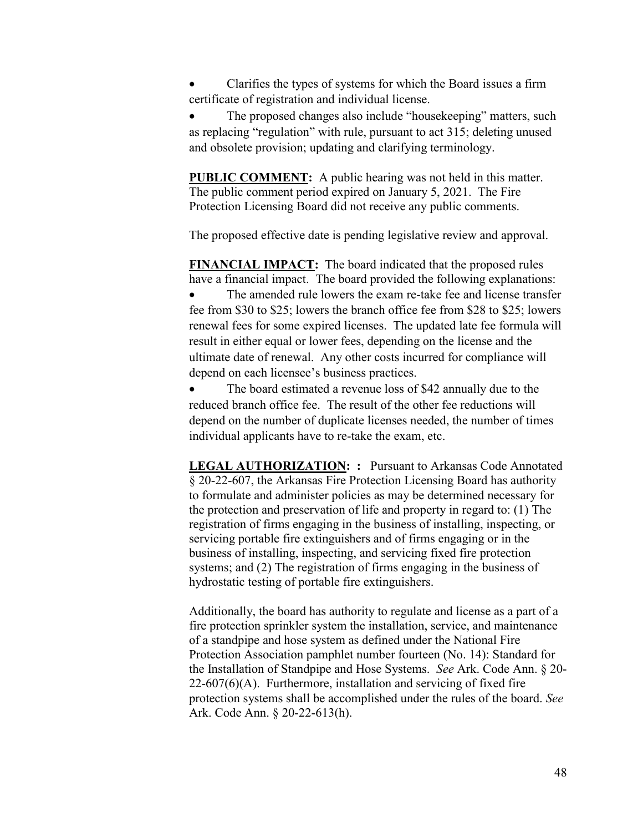Clarifies the types of systems for which the Board issues a firm certificate of registration and individual license.

 The proposed changes also include "housekeeping" matters, such as replacing "regulation" with rule, pursuant to act 315; deleting unused and obsolete provision; updating and clarifying terminology.

**PUBLIC COMMENT:** A public hearing was not held in this matter. The public comment period expired on January 5, 2021. The Fire Protection Licensing Board did not receive any public comments.

The proposed effective date is pending legislative review and approval.

**FINANCIAL IMPACT:** The board indicated that the proposed rules have a financial impact. The board provided the following explanations: The amended rule lowers the exam re-take fee and license transfer fee from \$30 to \$25; lowers the branch office fee from \$28 to \$25; lowers renewal fees for some expired licenses. The updated late fee formula will result in either equal or lower fees, depending on the license and the ultimate date of renewal. Any other costs incurred for compliance will depend on each licensee's business practices.

 The board estimated a revenue loss of \$42 annually due to the reduced branch office fee. The result of the other fee reductions will depend on the number of duplicate licenses needed, the number of times individual applicants have to re-take the exam, etc.

**LEGAL AUTHORIZATION: :** Pursuant to Arkansas Code Annotated § 20-22-607, the Arkansas Fire Protection Licensing Board has authority to formulate and administer policies as may be determined necessary for the protection and preservation of life and property in regard to: (1) The registration of firms engaging in the business of installing, inspecting, or servicing portable fire extinguishers and of firms engaging or in the business of installing, inspecting, and servicing fixed fire protection systems; and (2) The registration of firms engaging in the business of hydrostatic testing of portable fire extinguishers.

Additionally, the board has authority to regulate and license as a part of a fire protection sprinkler system the installation, service, and maintenance of a standpipe and hose system as defined under the National Fire Protection Association pamphlet number fourteen (No. 14): Standard for the Installation of Standpipe and Hose Systems. *See* Ark. Code Ann. § 20-  $22-607(6)$ (A). Furthermore, installation and servicing of fixed fire protection systems shall be accomplished under the rules of the board. *See* Ark. Code Ann. § 20-22-613(h).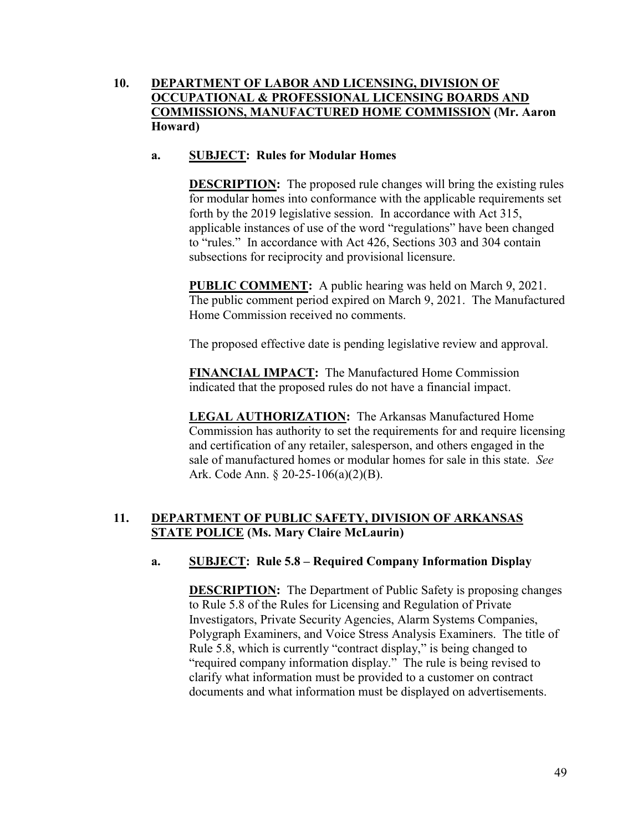# **10. DEPARTMENT OF LABOR AND LICENSING, DIVISION OF OCCUPATIONAL & PROFESSIONAL LICENSING BOARDS AND COMMISSIONS, MANUFACTURED HOME COMMISSION (Mr. Aaron Howard)**

# **a. SUBJECT: Rules for Modular Homes**

**DESCRIPTION:** The proposed rule changes will bring the existing rules for modular homes into conformance with the applicable requirements set forth by the 2019 legislative session. In accordance with Act 315, applicable instances of use of the word "regulations" have been changed to "rules." In accordance with Act 426, Sections 303 and 304 contain subsections for reciprocity and provisional licensure.

**PUBLIC COMMENT:** A public hearing was held on March 9, 2021. The public comment period expired on March 9, 2021. The Manufactured Home Commission received no comments.

The proposed effective date is pending legislative review and approval.

**FINANCIAL IMPACT:** The Manufactured Home Commission indicated that the proposed rules do not have a financial impact.

**LEGAL AUTHORIZATION:** The Arkansas Manufactured Home Commission has authority to set the requirements for and require licensing and certification of any retailer, salesperson, and others engaged in the sale of manufactured homes or modular homes for sale in this state. *See* Ark. Code Ann. § 20-25-106(a)(2)(B).

# **11. DEPARTMENT OF PUBLIC SAFETY, DIVISION OF ARKANSAS STATE POLICE (Ms. Mary Claire McLaurin)**

# **a. SUBJECT: Rule 5.8 – Required Company Information Display**

**DESCRIPTION:** The Department of Public Safety is proposing changes to Rule 5.8 of the Rules for Licensing and Regulation of Private Investigators, Private Security Agencies, Alarm Systems Companies, Polygraph Examiners, and Voice Stress Analysis Examiners. The title of Rule 5.8, which is currently "contract display," is being changed to "required company information display." The rule is being revised to clarify what information must be provided to a customer on contract documents and what information must be displayed on advertisements.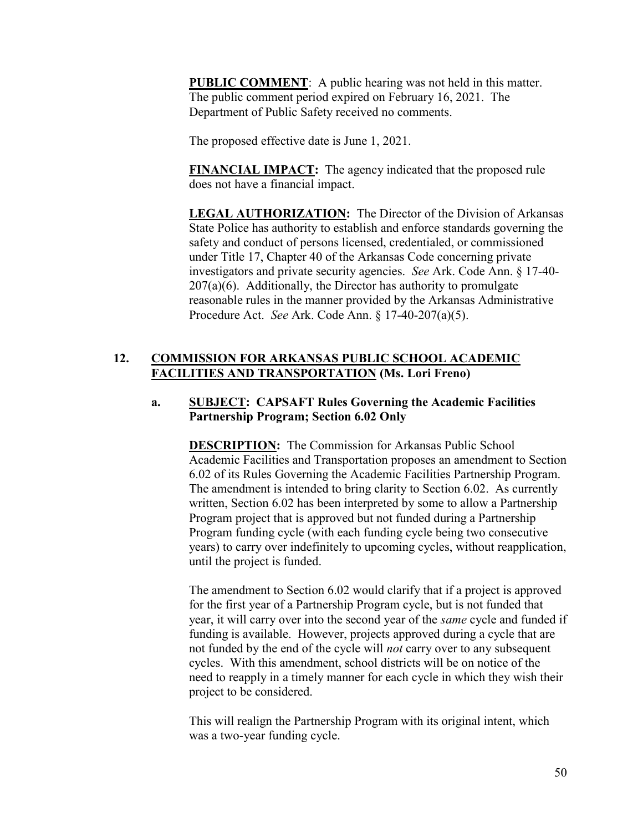**PUBLIC COMMENT**: A public hearing was not held in this matter. The public comment period expired on February 16, 2021. The Department of Public Safety received no comments.

The proposed effective date is June 1, 2021.

**FINANCIAL IMPACT:** The agency indicated that the proposed rule does not have a financial impact.

**LEGAL AUTHORIZATION:** The Director of the Division of Arkansas State Police has authority to establish and enforce standards governing the safety and conduct of persons licensed, credentialed, or commissioned under Title 17, Chapter 40 of the Arkansas Code concerning private investigators and private security agencies. *See* Ark. Code Ann. § 17-40-  $207(a)(6)$ . Additionally, the Director has authority to promulgate reasonable rules in the manner provided by the Arkansas Administrative Procedure Act. *See* Ark. Code Ann. § 17-40-207(a)(5).

# **12. COMMISSION FOR ARKANSAS PUBLIC SCHOOL ACADEMIC FACILITIES AND TRANSPORTATION (Ms. Lori Freno)**

# **a. SUBJECT: CAPSAFT Rules Governing the Academic Facilities Partnership Program; Section 6.02 Only**

**DESCRIPTION:** The Commission for Arkansas Public School Academic Facilities and Transportation proposes an amendment to Section 6.02 of its Rules Governing the Academic Facilities Partnership Program. The amendment is intended to bring clarity to Section 6.02. As currently written, Section 6.02 has been interpreted by some to allow a Partnership Program project that is approved but not funded during a Partnership Program funding cycle (with each funding cycle being two consecutive years) to carry over indefinitely to upcoming cycles, without reapplication, until the project is funded.

The amendment to Section 6.02 would clarify that if a project is approved for the first year of a Partnership Program cycle, but is not funded that year, it will carry over into the second year of the *same* cycle and funded if funding is available. However, projects approved during a cycle that are not funded by the end of the cycle will *not* carry over to any subsequent cycles. With this amendment, school districts will be on notice of the need to reapply in a timely manner for each cycle in which they wish their project to be considered.

This will realign the Partnership Program with its original intent, which was a two-year funding cycle.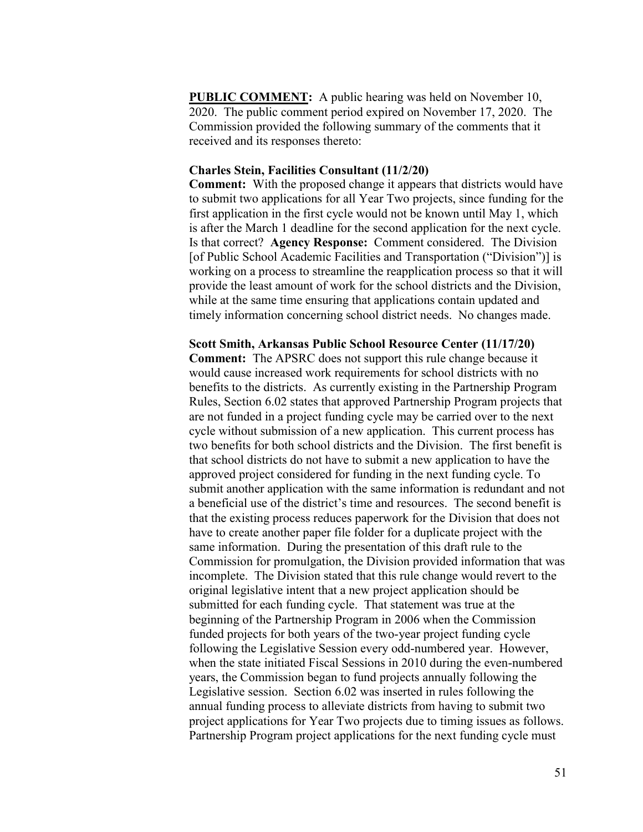**PUBLIC COMMENT:** A public hearing was held on November 10, 2020. The public comment period expired on November 17, 2020. The Commission provided the following summary of the comments that it received and its responses thereto:

### **Charles Stein, Facilities Consultant (11/2/20)**

**Comment:** With the proposed change it appears that districts would have to submit two applications for all Year Two projects, since funding for the first application in the first cycle would not be known until May 1, which is after the March 1 deadline for the second application for the next cycle. Is that correct? **Agency Response:** Comment considered. The Division [of Public School Academic Facilities and Transportation ("Division")] is working on a process to streamline the reapplication process so that it will provide the least amount of work for the school districts and the Division, while at the same time ensuring that applications contain updated and timely information concerning school district needs. No changes made.

**Scott Smith, Arkansas Public School Resource Center (11/17/20)**

**Comment:** The APSRC does not support this rule change because it would cause increased work requirements for school districts with no benefits to the districts. As currently existing in the Partnership Program Rules, Section 6.02 states that approved Partnership Program projects that are not funded in a project funding cycle may be carried over to the next cycle without submission of a new application. This current process has two benefits for both school districts and the Division. The first benefit is that school districts do not have to submit a new application to have the approved project considered for funding in the next funding cycle. To submit another application with the same information is redundant and not a beneficial use of the district's time and resources. The second benefit is that the existing process reduces paperwork for the Division that does not have to create another paper file folder for a duplicate project with the same information. During the presentation of this draft rule to the Commission for promulgation, the Division provided information that was incomplete. The Division stated that this rule change would revert to the original legislative intent that a new project application should be submitted for each funding cycle. That statement was true at the beginning of the Partnership Program in 2006 when the Commission funded projects for both years of the two-year project funding cycle following the Legislative Session every odd-numbered year. However, when the state initiated Fiscal Sessions in 2010 during the even-numbered years, the Commission began to fund projects annually following the Legislative session. Section 6.02 was inserted in rules following the annual funding process to alleviate districts from having to submit two project applications for Year Two projects due to timing issues as follows. Partnership Program project applications for the next funding cycle must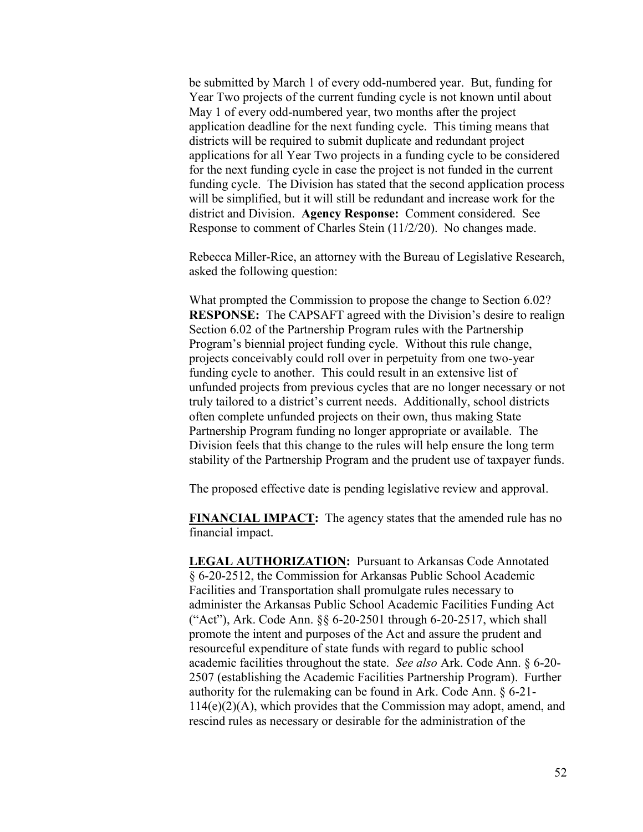be submitted by March 1 of every odd-numbered year. But, funding for Year Two projects of the current funding cycle is not known until about May 1 of every odd-numbered year, two months after the project application deadline for the next funding cycle. This timing means that districts will be required to submit duplicate and redundant project applications for all Year Two projects in a funding cycle to be considered for the next funding cycle in case the project is not funded in the current funding cycle. The Division has stated that the second application process will be simplified, but it will still be redundant and increase work for the district and Division. **Agency Response:** Comment considered. See Response to comment of Charles Stein (11/2/20). No changes made.

Rebecca Miller-Rice, an attorney with the Bureau of Legislative Research, asked the following question:

What prompted the Commission to propose the change to Section 6.02? **RESPONSE:** The CAPSAFT agreed with the Division's desire to realign Section 6.02 of the Partnership Program rules with the Partnership Program's biennial project funding cycle. Without this rule change, projects conceivably could roll over in perpetuity from one two-year funding cycle to another. This could result in an extensive list of unfunded projects from previous cycles that are no longer necessary or not truly tailored to a district's current needs. Additionally, school districts often complete unfunded projects on their own, thus making State Partnership Program funding no longer appropriate or available. The Division feels that this change to the rules will help ensure the long term stability of the Partnership Program and the prudent use of taxpayer funds.

The proposed effective date is pending legislative review and approval.

**FINANCIAL IMPACT:** The agency states that the amended rule has no financial impact.

**LEGAL AUTHORIZATION:** Pursuant to Arkansas Code Annotated § 6-20-2512, the Commission for Arkansas Public School Academic Facilities and Transportation shall promulgate rules necessary to administer the Arkansas Public School Academic Facilities Funding Act ("Act"), Ark. Code Ann. §§ 6-20-2501 through 6-20-2517, which shall promote the intent and purposes of the Act and assure the prudent and resourceful expenditure of state funds with regard to public school academic facilities throughout the state. *See also* Ark. Code Ann. § 6-20- 2507 (establishing the Academic Facilities Partnership Program). Further authority for the rulemaking can be found in Ark. Code Ann. § 6-21-  $114(e)(2)(A)$ , which provides that the Commission may adopt, amend, and rescind rules as necessary or desirable for the administration of the